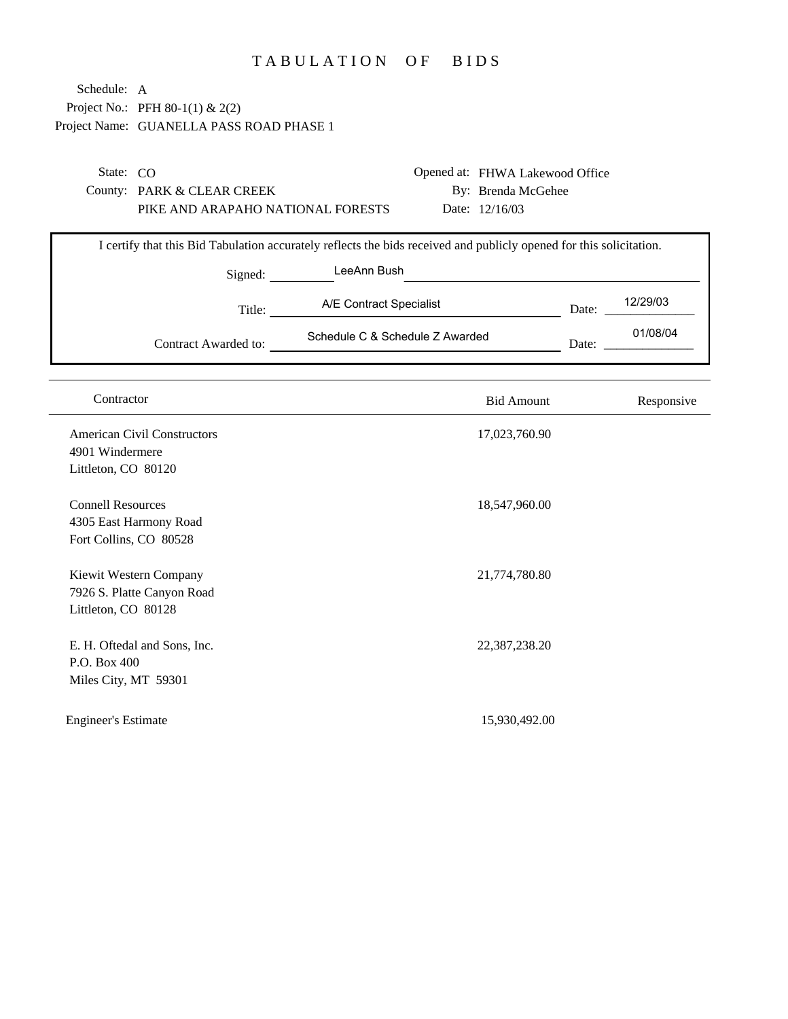## TABULATION OF BIDS

| Schedule: A                |                                          |                                                                                                                     |                                 |       |            |
|----------------------------|------------------------------------------|---------------------------------------------------------------------------------------------------------------------|---------------------------------|-------|------------|
|                            | Project No.: PFH 80-1(1) & 2(2)          |                                                                                                                     |                                 |       |            |
|                            | Project Name: GUANELLA PASS ROAD PHASE 1 |                                                                                                                     |                                 |       |            |
|                            |                                          |                                                                                                                     |                                 |       |            |
|                            |                                          |                                                                                                                     |                                 |       |            |
| State: CO                  |                                          |                                                                                                                     | Opened at: FHWA Lakewood Office |       |            |
|                            | County: PARK & CLEAR CREEK               |                                                                                                                     | By: Brenda McGehee              |       |            |
|                            | PIKE AND ARAPAHO NATIONAL FORESTS        |                                                                                                                     | Date: 12/16/03                  |       |            |
|                            |                                          | I certify that this Bid Tabulation accurately reflects the bids received and publicly opened for this solicitation. |                                 |       |            |
|                            |                                          | LeeAnn Bush                                                                                                         |                                 |       |            |
|                            | Signed:                                  |                                                                                                                     |                                 |       |            |
|                            | Title:                                   | A/E Contract Specialist                                                                                             |                                 | Date: | 12/29/03   |
|                            |                                          | Schedule C & Schedule Z Awarded                                                                                     |                                 |       | 01/08/04   |
|                            | Contract Awarded to:                     |                                                                                                                     |                                 | Date: |            |
|                            |                                          |                                                                                                                     |                                 |       |            |
|                            |                                          |                                                                                                                     |                                 |       |            |
| Contractor                 |                                          |                                                                                                                     | <b>Bid Amount</b>               |       | Responsive |
|                            | <b>American Civil Constructors</b>       |                                                                                                                     | 17,023,760.90                   |       |            |
| 4901 Windermere            |                                          |                                                                                                                     |                                 |       |            |
| Littleton, CO 80120        |                                          |                                                                                                                     |                                 |       |            |
|                            |                                          |                                                                                                                     |                                 |       |            |
| <b>Connell Resources</b>   |                                          |                                                                                                                     | 18,547,960.00                   |       |            |
|                            | 4305 East Harmony Road                   |                                                                                                                     |                                 |       |            |
| Fort Collins, CO 80528     |                                          |                                                                                                                     |                                 |       |            |
|                            | Kiewit Western Company                   |                                                                                                                     | 21,774,780.80                   |       |            |
|                            | 7926 S. Platte Canyon Road               |                                                                                                                     |                                 |       |            |
| Littleton, CO 80128        |                                          |                                                                                                                     |                                 |       |            |
|                            |                                          |                                                                                                                     |                                 |       |            |
|                            | E. H. Oftedal and Sons, Inc.             |                                                                                                                     | 22,387,238.20                   |       |            |
| P.O. Box 400               |                                          |                                                                                                                     |                                 |       |            |
| Miles City, MT 59301       |                                          |                                                                                                                     |                                 |       |            |
|                            |                                          |                                                                                                                     |                                 |       |            |
| <b>Engineer's Estimate</b> |                                          |                                                                                                                     | 15,930,492.00                   |       |            |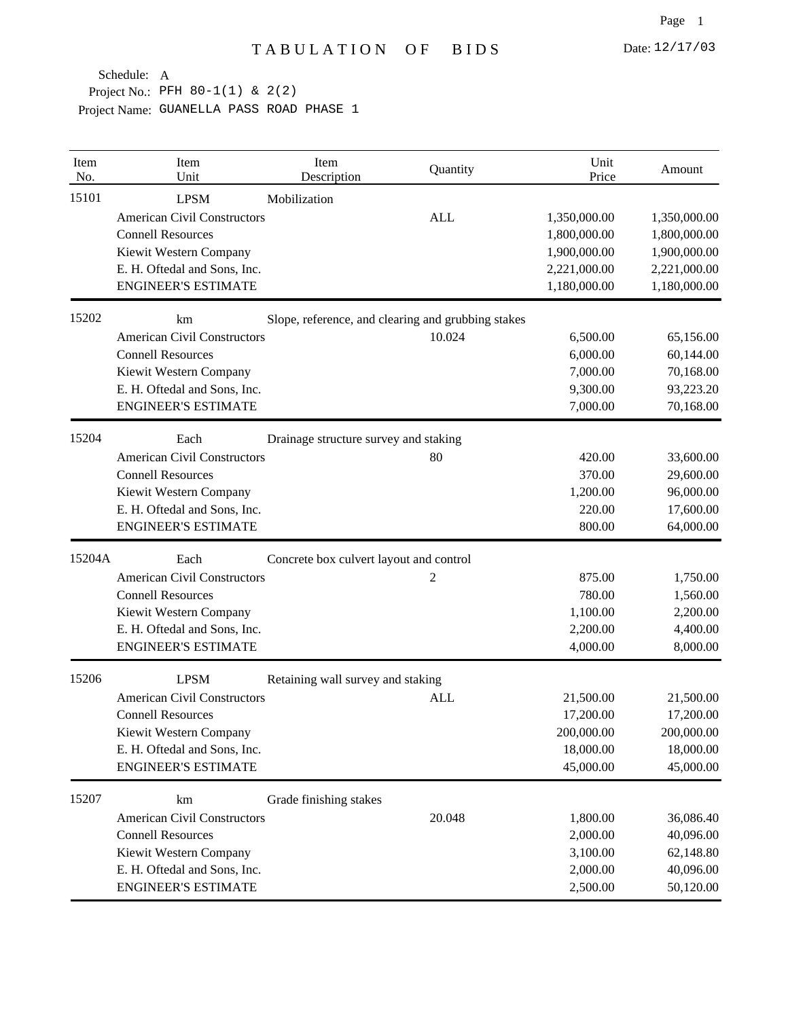| Item<br>No. | Item<br>Unit                       | Item<br>Description                     | Quantity                                           | Unit<br>Price | Amount       |
|-------------|------------------------------------|-----------------------------------------|----------------------------------------------------|---------------|--------------|
| 15101       | <b>LPSM</b>                        | Mobilization                            |                                                    |               |              |
|             | <b>American Civil Constructors</b> |                                         | <b>ALL</b>                                         | 1,350,000.00  | 1,350,000.00 |
|             | <b>Connell Resources</b>           |                                         |                                                    | 1,800,000.00  | 1,800,000.00 |
|             | Kiewit Western Company             |                                         |                                                    | 1,900,000.00  | 1,900,000.00 |
|             | E. H. Oftedal and Sons, Inc.       |                                         |                                                    | 2,221,000.00  | 2,221,000.00 |
|             | <b>ENGINEER'S ESTIMATE</b>         |                                         |                                                    | 1,180,000.00  | 1,180,000.00 |
| 15202       | km                                 |                                         | Slope, reference, and clearing and grubbing stakes |               |              |
|             | <b>American Civil Constructors</b> |                                         | 10.024                                             | 6,500.00      | 65,156.00    |
|             | <b>Connell Resources</b>           |                                         |                                                    | 6,000.00      | 60,144.00    |
|             | Kiewit Western Company             |                                         |                                                    | 7,000.00      | 70,168.00    |
|             | E. H. Oftedal and Sons, Inc.       |                                         |                                                    | 9,300.00      | 93,223.20    |
|             | <b>ENGINEER'S ESTIMATE</b>         |                                         |                                                    | 7,000.00      | 70,168.00    |
| 15204       | Each                               | Drainage structure survey and staking   |                                                    |               |              |
|             | <b>American Civil Constructors</b> |                                         | 80                                                 | 420.00        | 33,600.00    |
|             | <b>Connell Resources</b>           |                                         |                                                    | 370.00        | 29,600.00    |
|             | Kiewit Western Company             |                                         |                                                    | 1,200.00      | 96,000.00    |
|             | E. H. Oftedal and Sons, Inc.       |                                         |                                                    | 220.00        | 17,600.00    |
|             | <b>ENGINEER'S ESTIMATE</b>         |                                         |                                                    | 800.00        | 64,000.00    |
| 15204A      | Each                               | Concrete box culvert layout and control |                                                    |               |              |
|             | <b>American Civil Constructors</b> |                                         | 2                                                  | 875.00        | 1,750.00     |
|             | <b>Connell Resources</b>           |                                         |                                                    | 780.00        | 1,560.00     |
|             | Kiewit Western Company             |                                         |                                                    | 1,100.00      | 2,200.00     |
|             | E. H. Oftedal and Sons, Inc.       |                                         |                                                    | 2,200.00      | 4,400.00     |
|             | <b>ENGINEER'S ESTIMATE</b>         |                                         |                                                    | 4,000.00      | 8,000.00     |
| 15206       | <b>LPSM</b>                        | Retaining wall survey and staking       |                                                    |               |              |
|             | <b>American Civil Constructors</b> |                                         | <b>ALL</b>                                         | 21,500.00     | 21,500.00    |
|             | <b>Connell Resources</b>           |                                         |                                                    | 17,200.00     | 17,200.00    |
|             | Kiewit Western Company             |                                         |                                                    | 200,000.00    | 200,000.00   |
|             | E. H. Oftedal and Sons, Inc.       |                                         |                                                    | 18,000.00     | 18,000.00    |
|             | <b>ENGINEER'S ESTIMATE</b>         |                                         |                                                    | 45,000.00     | 45,000.00    |
| 15207       | km                                 | Grade finishing stakes                  |                                                    |               |              |
|             | <b>American Civil Constructors</b> |                                         | 20.048                                             | 1,800.00      | 36,086.40    |
|             | <b>Connell Resources</b>           |                                         |                                                    | 2,000.00      | 40,096.00    |
|             | Kiewit Western Company             |                                         |                                                    | 3,100.00      | 62,148.80    |
|             | E. H. Oftedal and Sons, Inc.       |                                         |                                                    | 2,000.00      | 40,096.00    |
|             | <b>ENGINEER'S ESTIMATE</b>         |                                         |                                                    | 2,500.00      | 50,120.00    |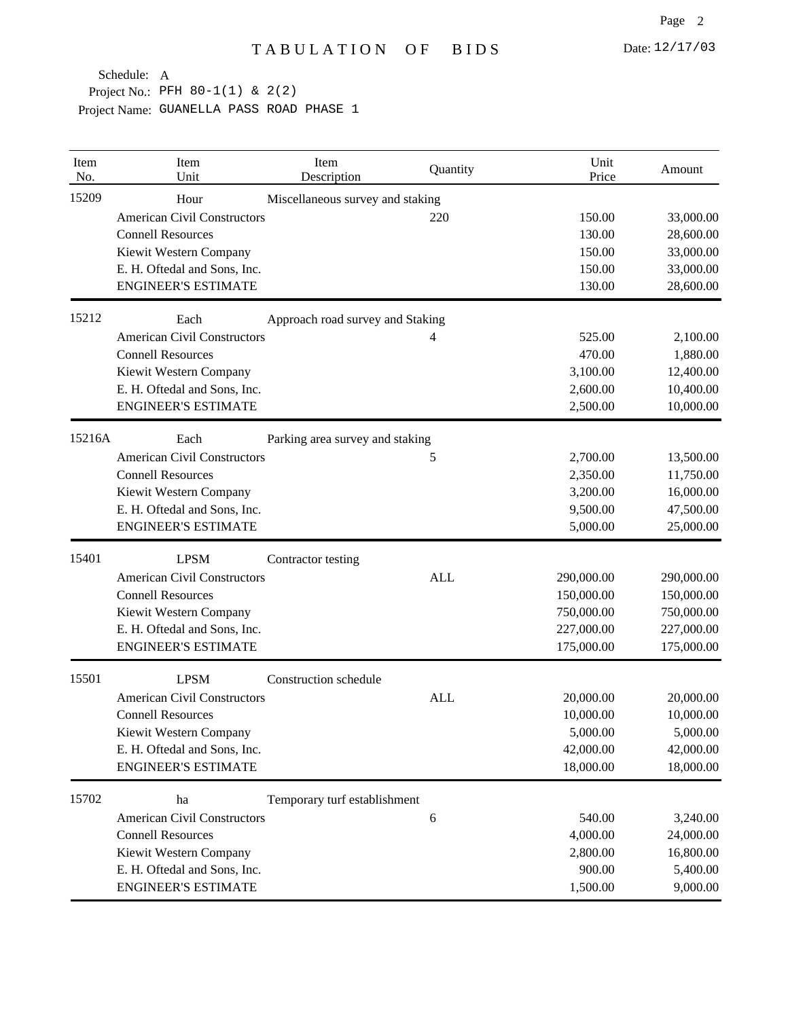| Item<br>No. | Item<br>Unit                       | Item<br>Description              | Quantity   | Unit<br>Price | Amount     |
|-------------|------------------------------------|----------------------------------|------------|---------------|------------|
| 15209       | Hour                               | Miscellaneous survey and staking |            |               |            |
|             | <b>American Civil Constructors</b> |                                  | 220        | 150.00        | 33,000.00  |
|             | <b>Connell Resources</b>           |                                  |            | 130.00        | 28,600.00  |
|             | Kiewit Western Company             |                                  |            | 150.00        | 33,000.00  |
|             | E. H. Oftedal and Sons, Inc.       |                                  |            | 150.00        | 33,000.00  |
|             | <b>ENGINEER'S ESTIMATE</b>         |                                  |            | 130.00        | 28,600.00  |
| 15212       | Each                               | Approach road survey and Staking |            |               |            |
|             | <b>American Civil Constructors</b> |                                  | 4          | 525.00        | 2,100.00   |
|             | <b>Connell Resources</b>           |                                  |            | 470.00        | 1,880.00   |
|             | Kiewit Western Company             |                                  |            | 3,100.00      | 12,400.00  |
|             | E. H. Oftedal and Sons, Inc.       |                                  |            | 2,600.00      | 10,400.00  |
|             | <b>ENGINEER'S ESTIMATE</b>         |                                  |            | 2,500.00      | 10,000.00  |
| 15216A      | Each                               | Parking area survey and staking  |            |               |            |
|             | <b>American Civil Constructors</b> |                                  | 5          | 2,700.00      | 13,500.00  |
|             | <b>Connell Resources</b>           |                                  |            | 2,350.00      | 11,750.00  |
|             | Kiewit Western Company             |                                  |            | 3,200.00      | 16,000.00  |
|             | E. H. Oftedal and Sons, Inc.       |                                  |            | 9,500.00      | 47,500.00  |
|             | <b>ENGINEER'S ESTIMATE</b>         |                                  |            | 5,000.00      | 25,000.00  |
| 15401       | <b>LPSM</b>                        | Contractor testing               |            |               |            |
|             | <b>American Civil Constructors</b> |                                  | <b>ALL</b> | 290,000.00    | 290,000.00 |
|             | <b>Connell Resources</b>           |                                  |            | 150,000.00    | 150,000.00 |
|             | Kiewit Western Company             |                                  |            | 750,000.00    | 750,000.00 |
|             | E. H. Oftedal and Sons, Inc.       |                                  |            | 227,000.00    | 227,000.00 |
|             | <b>ENGINEER'S ESTIMATE</b>         |                                  |            | 175,000.00    | 175,000.00 |
| 15501       | <b>LPSM</b>                        | Construction schedule            |            |               |            |
|             | <b>American Civil Constructors</b> |                                  | <b>ALL</b> | 20,000.00     | 20,000.00  |
|             | <b>Connell Resources</b>           |                                  |            | 10,000.00     | 10,000.00  |
|             | Kiewit Western Company             |                                  |            | 5,000.00      | 5,000.00   |
|             | E. H. Oftedal and Sons, Inc.       |                                  |            | 42,000.00     | 42,000.00  |
|             | <b>ENGINEER'S ESTIMATE</b>         |                                  |            | 18,000.00     | 18,000.00  |
| 15702       | ha                                 | Temporary turf establishment     |            |               |            |
|             | <b>American Civil Constructors</b> |                                  | $\sqrt{6}$ | 540.00        | 3,240.00   |
|             | <b>Connell Resources</b>           |                                  |            | 4,000.00      | 24,000.00  |
|             | Kiewit Western Company             |                                  |            | 2,800.00      | 16,800.00  |
|             | E. H. Oftedal and Sons, Inc.       |                                  |            | 900.00        | 5,400.00   |
|             | <b>ENGINEER'S ESTIMATE</b>         |                                  |            | 1,500.00      | 9,000.00   |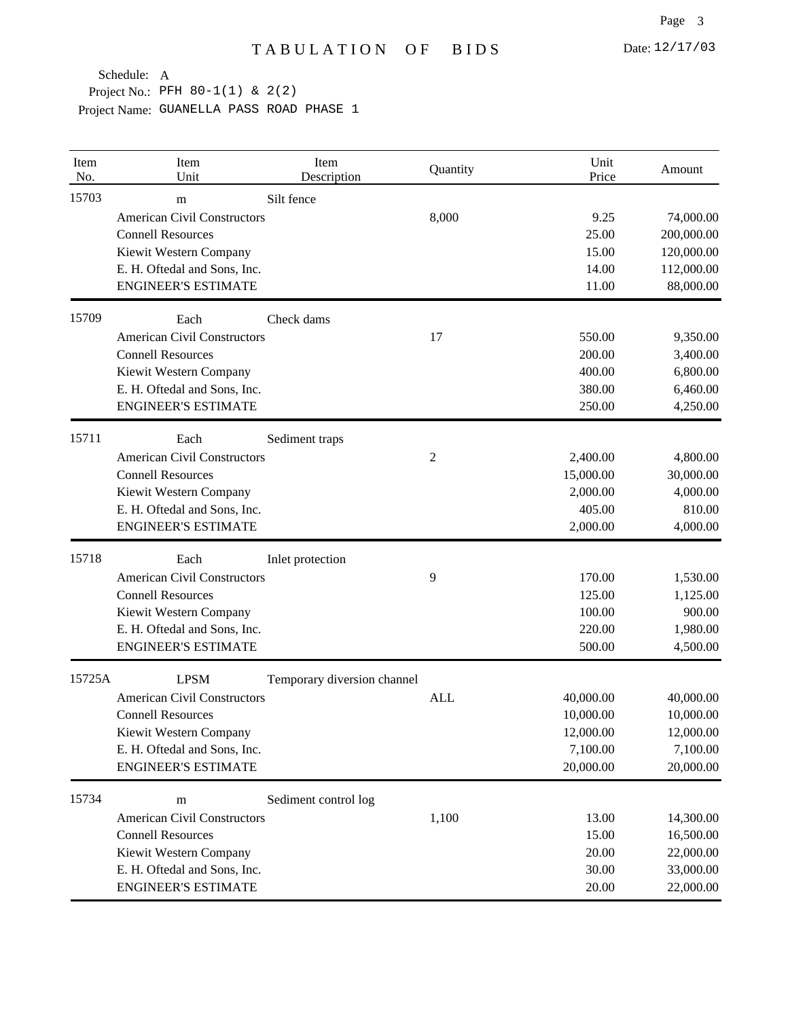| Item<br>No. | Item<br>Unit                       | Item<br>Description         | Quantity   | Unit<br>Price | Amount     |
|-------------|------------------------------------|-----------------------------|------------|---------------|------------|
| 15703       | m                                  | Silt fence                  |            |               |            |
|             | <b>American Civil Constructors</b> |                             | 8,000      | 9.25          | 74,000.00  |
|             | <b>Connell Resources</b>           |                             |            | 25.00         | 200,000.00 |
|             | Kiewit Western Company             |                             |            | 15.00         | 120,000.00 |
|             | E. H. Oftedal and Sons, Inc.       |                             |            | 14.00         | 112,000.00 |
|             | <b>ENGINEER'S ESTIMATE</b>         |                             |            | 11.00         | 88,000.00  |
| 15709       | Each                               | Check dams                  |            |               |            |
|             | <b>American Civil Constructors</b> |                             | 17         | 550.00        | 9,350.00   |
|             | <b>Connell Resources</b>           |                             |            | 200.00        | 3,400.00   |
|             | Kiewit Western Company             |                             |            | 400.00        | 6,800.00   |
|             | E. H. Oftedal and Sons, Inc.       |                             |            | 380.00        | 6,460.00   |
|             | <b>ENGINEER'S ESTIMATE</b>         |                             |            | 250.00        | 4,250.00   |
| 15711       | Each                               | Sediment traps              |            |               |            |
|             | <b>American Civil Constructors</b> |                             | 2          | 2,400.00      | 4,800.00   |
|             | <b>Connell Resources</b>           |                             |            | 15,000.00     | 30,000.00  |
|             | Kiewit Western Company             |                             |            | 2,000.00      | 4,000.00   |
|             | E. H. Oftedal and Sons, Inc.       |                             |            | 405.00        | 810.00     |
|             | <b>ENGINEER'S ESTIMATE</b>         |                             |            | 2,000.00      | 4,000.00   |
| 15718       | Each                               | Inlet protection            |            |               |            |
|             | <b>American Civil Constructors</b> |                             | 9          | 170.00        | 1,530.00   |
|             | <b>Connell Resources</b>           |                             |            | 125.00        | 1,125.00   |
|             | Kiewit Western Company             |                             |            | 100.00        | 900.00     |
|             | E. H. Oftedal and Sons, Inc.       |                             |            | 220.00        | 1,980.00   |
|             | <b>ENGINEER'S ESTIMATE</b>         |                             |            | 500.00        | 4,500.00   |
| 15725A      | <b>LPSM</b>                        | Temporary diversion channel |            |               |            |
|             | <b>American Civil Constructors</b> |                             | <b>ALL</b> | 40,000.00     | 40,000.00  |
|             | <b>Connell Resources</b>           |                             |            | 10,000.00     | 10,000.00  |
|             | Kiewit Western Company             |                             |            | 12,000.00     | 12,000.00  |
|             | E. H. Oftedal and Sons, Inc.       |                             |            | 7,100.00      | 7,100.00   |
|             | <b>ENGINEER'S ESTIMATE</b>         |                             |            | 20,000.00     | 20,000.00  |
| 15734       | m                                  | Sediment control log        |            |               |            |
|             | <b>American Civil Constructors</b> |                             | 1,100      | 13.00         | 14,300.00  |
|             | <b>Connell Resources</b>           |                             |            | 15.00         | 16,500.00  |
|             | Kiewit Western Company             |                             |            | 20.00         | 22,000.00  |
|             | E. H. Oftedal and Sons, Inc.       |                             |            | 30.00         | 33,000.00  |
|             | <b>ENGINEER'S ESTIMATE</b>         |                             |            | 20.00         | 22,000.00  |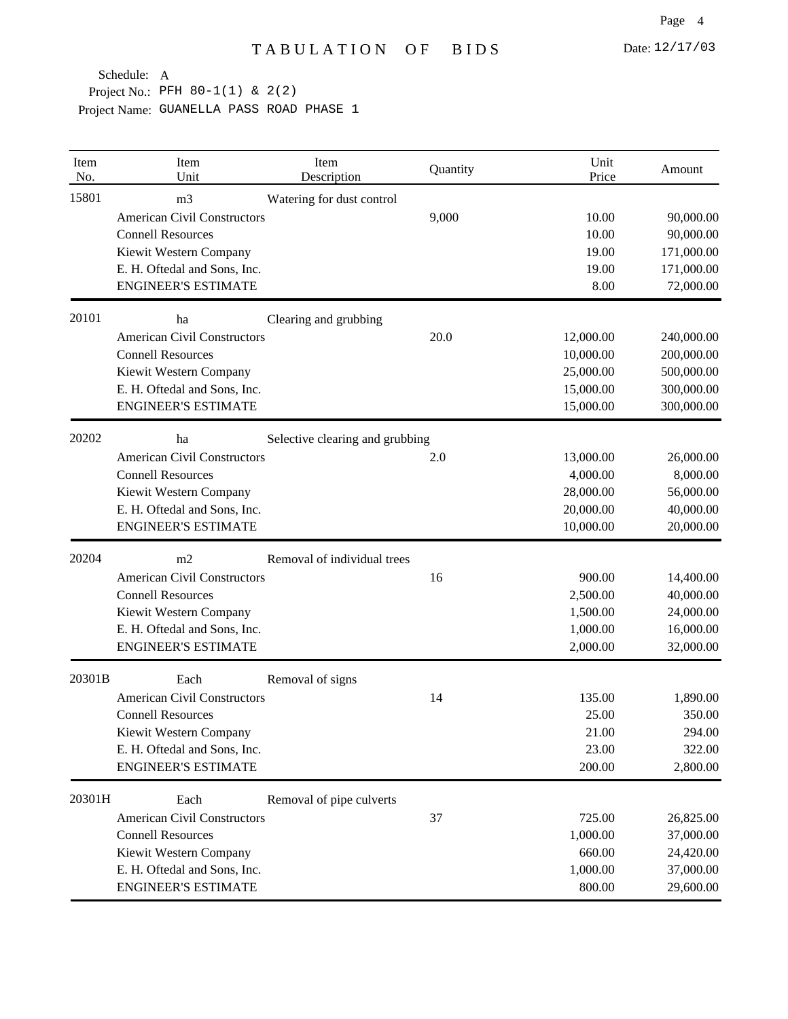| Item<br>No. | Item<br>Unit                       | Item<br>Description             | Quantity | Unit<br>Price | Amount     |
|-------------|------------------------------------|---------------------------------|----------|---------------|------------|
| 15801       | m <sub>3</sub>                     | Watering for dust control       |          |               |            |
|             | <b>American Civil Constructors</b> |                                 | 9,000    | 10.00         | 90,000.00  |
|             | <b>Connell Resources</b>           |                                 |          | 10.00         | 90,000.00  |
|             | Kiewit Western Company             |                                 |          | 19.00         | 171,000.00 |
|             | E. H. Oftedal and Sons, Inc.       |                                 |          | 19.00         | 171,000.00 |
|             | <b>ENGINEER'S ESTIMATE</b>         |                                 |          | 8.00          | 72,000.00  |
| 20101       | ha                                 | Clearing and grubbing           |          |               |            |
|             | <b>American Civil Constructors</b> |                                 | 20.0     | 12,000.00     | 240,000.00 |
|             | <b>Connell Resources</b>           |                                 |          | 10,000.00     | 200,000.00 |
|             | Kiewit Western Company             |                                 |          | 25,000.00     | 500,000.00 |
|             | E. H. Oftedal and Sons, Inc.       |                                 |          | 15,000.00     | 300,000.00 |
|             | <b>ENGINEER'S ESTIMATE</b>         |                                 |          | 15,000.00     | 300,000.00 |
| 20202       | ha                                 | Selective clearing and grubbing |          |               |            |
|             | <b>American Civil Constructors</b> |                                 | 2.0      | 13,000.00     | 26,000.00  |
|             | <b>Connell Resources</b>           |                                 |          | 4,000.00      | 8,000.00   |
|             | Kiewit Western Company             |                                 |          | 28,000.00     | 56,000.00  |
|             | E. H. Oftedal and Sons, Inc.       |                                 |          | 20,000.00     | 40,000.00  |
|             | <b>ENGINEER'S ESTIMATE</b>         |                                 |          | 10,000.00     | 20,000.00  |
| 20204       | m2                                 | Removal of individual trees     |          |               |            |
|             | <b>American Civil Constructors</b> |                                 | 16       | 900.00        | 14,400.00  |
|             | <b>Connell Resources</b>           |                                 |          | 2,500.00      | 40,000.00  |
|             | Kiewit Western Company             |                                 |          | 1,500.00      | 24,000.00  |
|             | E. H. Oftedal and Sons, Inc.       |                                 |          | 1,000.00      | 16,000.00  |
|             | <b>ENGINEER'S ESTIMATE</b>         |                                 |          | 2,000.00      | 32,000.00  |
| 20301B      | Each                               | Removal of signs                |          |               |            |
|             | <b>American Civil Constructors</b> |                                 | 14       | 135.00        | 1,890.00   |
|             | <b>Connell Resources</b>           |                                 |          | 25.00         | 350.00     |
|             | Kiewit Western Company             |                                 |          | 21.00         | 294.00     |
|             | E. H. Oftedal and Sons, Inc.       |                                 |          | 23.00         | 322.00     |
|             | <b>ENGINEER'S ESTIMATE</b>         |                                 |          | 200.00        | 2,800.00   |
| 20301H      | Each                               | Removal of pipe culverts        |          |               |            |
|             | <b>American Civil Constructors</b> |                                 | 37       | 725.00        | 26,825.00  |
|             | <b>Connell Resources</b>           |                                 |          | 1,000.00      | 37,000.00  |
|             | Kiewit Western Company             |                                 |          | 660.00        | 24,420.00  |
|             | E. H. Oftedal and Sons, Inc.       |                                 |          | 1,000.00      | 37,000.00  |
|             | <b>ENGINEER'S ESTIMATE</b>         |                                 |          | 800.00        | 29,600.00  |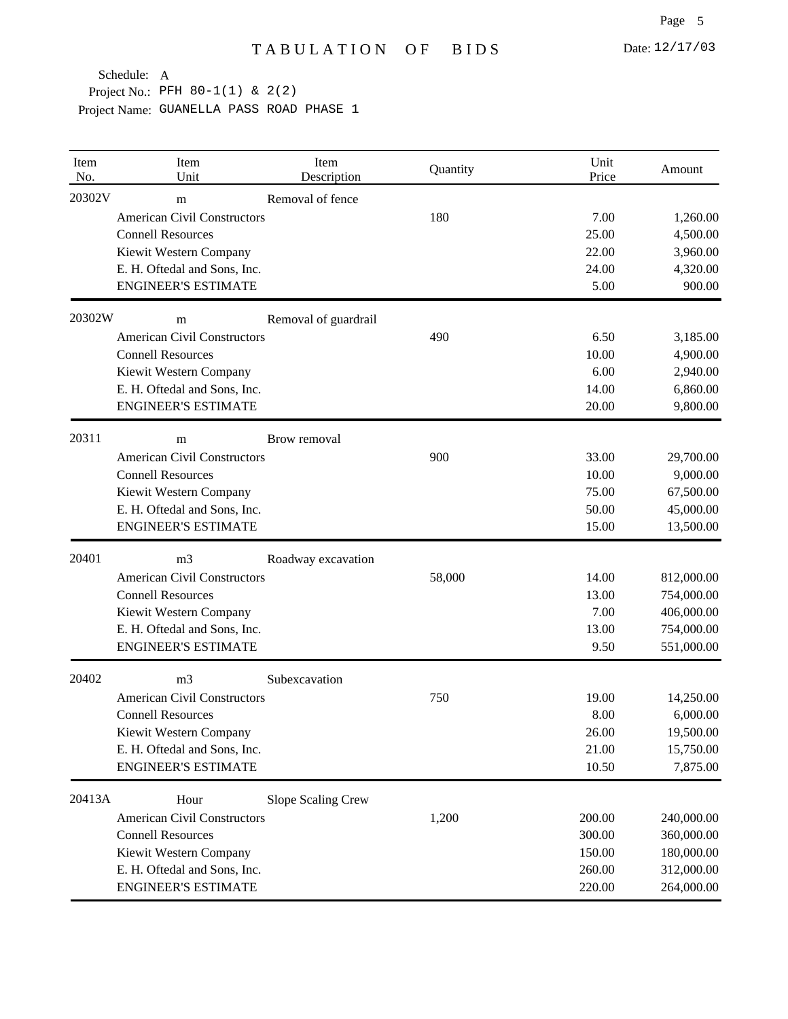| Item<br>No. | Item<br>Unit                       | Item<br>Description  | Quantity | Unit<br>Price | Amount     |
|-------------|------------------------------------|----------------------|----------|---------------|------------|
| 20302V      | m                                  | Removal of fence     |          |               |            |
|             | <b>American Civil Constructors</b> |                      | 180      | 7.00          | 1,260.00   |
|             | <b>Connell Resources</b>           |                      |          | 25.00         | 4,500.00   |
|             | Kiewit Western Company             |                      |          | 22.00         | 3,960.00   |
|             | E. H. Oftedal and Sons, Inc.       |                      |          | 24.00         | 4,320.00   |
|             | <b>ENGINEER'S ESTIMATE</b>         |                      |          | 5.00          | 900.00     |
| 20302W      | m                                  | Removal of guardrail |          |               |            |
|             | <b>American Civil Constructors</b> |                      | 490      | 6.50          | 3,185.00   |
|             | <b>Connell Resources</b>           |                      |          | 10.00         | 4,900.00   |
|             | Kiewit Western Company             |                      |          | 6.00          | 2,940.00   |
|             | E. H. Oftedal and Sons, Inc.       |                      |          | 14.00         | 6,860.00   |
|             | <b>ENGINEER'S ESTIMATE</b>         |                      |          | 20.00         | 9,800.00   |
| 20311       | m                                  | Brow removal         |          |               |            |
|             | <b>American Civil Constructors</b> |                      | 900      | 33.00         | 29,700.00  |
|             | <b>Connell Resources</b>           |                      |          | 10.00         | 9,000.00   |
|             | Kiewit Western Company             |                      |          | 75.00         | 67,500.00  |
|             | E. H. Oftedal and Sons, Inc.       |                      |          | 50.00         | 45,000.00  |
|             | <b>ENGINEER'S ESTIMATE</b>         |                      |          | 15.00         | 13,500.00  |
| 20401       | m <sub>3</sub>                     | Roadway excavation   |          |               |            |
|             | <b>American Civil Constructors</b> |                      | 58,000   | 14.00         | 812,000.00 |
|             | <b>Connell Resources</b>           |                      |          | 13.00         | 754,000.00 |
|             | Kiewit Western Company             |                      |          | 7.00          | 406,000.00 |
|             | E. H. Oftedal and Sons, Inc.       |                      |          | 13.00         | 754,000.00 |
|             | <b>ENGINEER'S ESTIMATE</b>         |                      |          | 9.50          | 551,000.00 |
| 20402       | m <sub>3</sub>                     | Subexcavation        |          |               |            |
|             | <b>American Civil Constructors</b> |                      | 750      | 19.00         | 14,250.00  |
|             | <b>Connell Resources</b>           |                      |          | 8.00          | 6,000.00   |
|             | Kiewit Western Company             |                      |          | 26.00         | 19,500.00  |
|             | E. H. Oftedal and Sons, Inc.       |                      |          | 21.00         | 15,750.00  |
|             | <b>ENGINEER'S ESTIMATE</b>         |                      |          | 10.50         | 7,875.00   |
| 20413A      | Hour                               | Slope Scaling Crew   |          |               |            |
|             | <b>American Civil Constructors</b> |                      | 1,200    | 200.00        | 240,000.00 |
|             | <b>Connell Resources</b>           |                      |          | 300.00        | 360,000.00 |
|             | Kiewit Western Company             |                      |          | 150.00        | 180,000.00 |
|             | E. H. Oftedal and Sons, Inc.       |                      |          | 260.00        | 312,000.00 |
|             | <b>ENGINEER'S ESTIMATE</b>         |                      |          | 220.00        | 264,000.00 |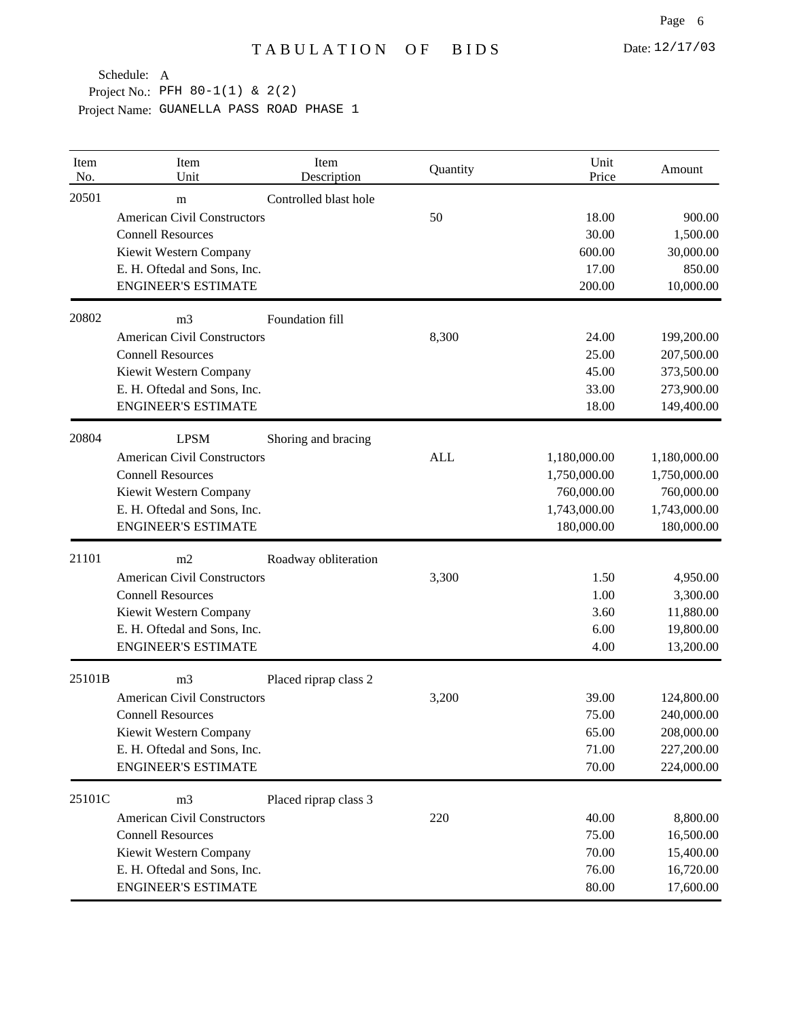| Item<br>No. | Item<br>Unit                       | Item<br>Description   | Quantity   | Unit<br>Price | Amount       |
|-------------|------------------------------------|-----------------------|------------|---------------|--------------|
| 20501       | m                                  | Controlled blast hole |            |               |              |
|             | <b>American Civil Constructors</b> |                       | 50         | 18.00         | 900.00       |
|             | <b>Connell Resources</b>           |                       |            | 30.00         | 1,500.00     |
|             | Kiewit Western Company             |                       |            | 600.00        | 30,000.00    |
|             | E. H. Oftedal and Sons, Inc.       |                       |            | 17.00         | 850.00       |
|             | <b>ENGINEER'S ESTIMATE</b>         |                       |            | 200.00        | 10,000.00    |
| 20802       | m <sub>3</sub>                     | Foundation fill       |            |               |              |
|             | <b>American Civil Constructors</b> |                       | 8,300      | 24.00         | 199,200.00   |
|             | <b>Connell Resources</b>           |                       |            | 25.00         | 207,500.00   |
|             | Kiewit Western Company             |                       |            | 45.00         | 373,500.00   |
|             | E. H. Oftedal and Sons, Inc.       |                       |            | 33.00         | 273,900.00   |
|             | <b>ENGINEER'S ESTIMATE</b>         |                       |            | 18.00         | 149,400.00   |
| 20804       | <b>LPSM</b>                        | Shoring and bracing   |            |               |              |
|             | <b>American Civil Constructors</b> |                       | <b>ALL</b> | 1,180,000.00  | 1,180,000.00 |
|             | <b>Connell Resources</b>           |                       |            | 1,750,000.00  | 1,750,000.00 |
|             | Kiewit Western Company             |                       |            | 760,000.00    | 760,000.00   |
|             | E. H. Oftedal and Sons, Inc.       |                       |            | 1,743,000.00  | 1,743,000.00 |
|             | <b>ENGINEER'S ESTIMATE</b>         |                       |            | 180,000.00    | 180,000.00   |
| 21101       | m2                                 | Roadway obliteration  |            |               |              |
|             | <b>American Civil Constructors</b> |                       | 3,300      | 1.50          | 4,950.00     |
|             | <b>Connell Resources</b>           |                       |            | 1.00          | 3,300.00     |
|             | Kiewit Western Company             |                       |            | 3.60          | 11,880.00    |
|             | E. H. Oftedal and Sons, Inc.       |                       |            | 6.00          | 19,800.00    |
|             | <b>ENGINEER'S ESTIMATE</b>         |                       |            | 4.00          | 13,200.00    |
| 25101B      | m <sub>3</sub>                     | Placed riprap class 2 |            |               |              |
|             | <b>American Civil Constructors</b> |                       | 3,200      | 39.00         | 124,800.00   |
|             | <b>Connell Resources</b>           |                       |            | 75.00         | 240,000.00   |
|             | Kiewit Western Company             |                       |            | 65.00         | 208,000.00   |
|             | E. H. Oftedal and Sons, Inc.       |                       |            | 71.00         | 227,200.00   |
|             | <b>ENGINEER'S ESTIMATE</b>         |                       |            | 70.00         | 224,000.00   |
| 25101C      | m <sub>3</sub>                     | Placed riprap class 3 |            |               |              |
|             | <b>American Civil Constructors</b> |                       | 220        | 40.00         | 8,800.00     |
|             | <b>Connell Resources</b>           |                       |            | 75.00         | 16,500.00    |
|             | Kiewit Western Company             |                       |            | 70.00         | 15,400.00    |
|             | E. H. Oftedal and Sons, Inc.       |                       |            | 76.00         | 16,720.00    |
|             | <b>ENGINEER'S ESTIMATE</b>         |                       |            | 80.00         | 17,600.00    |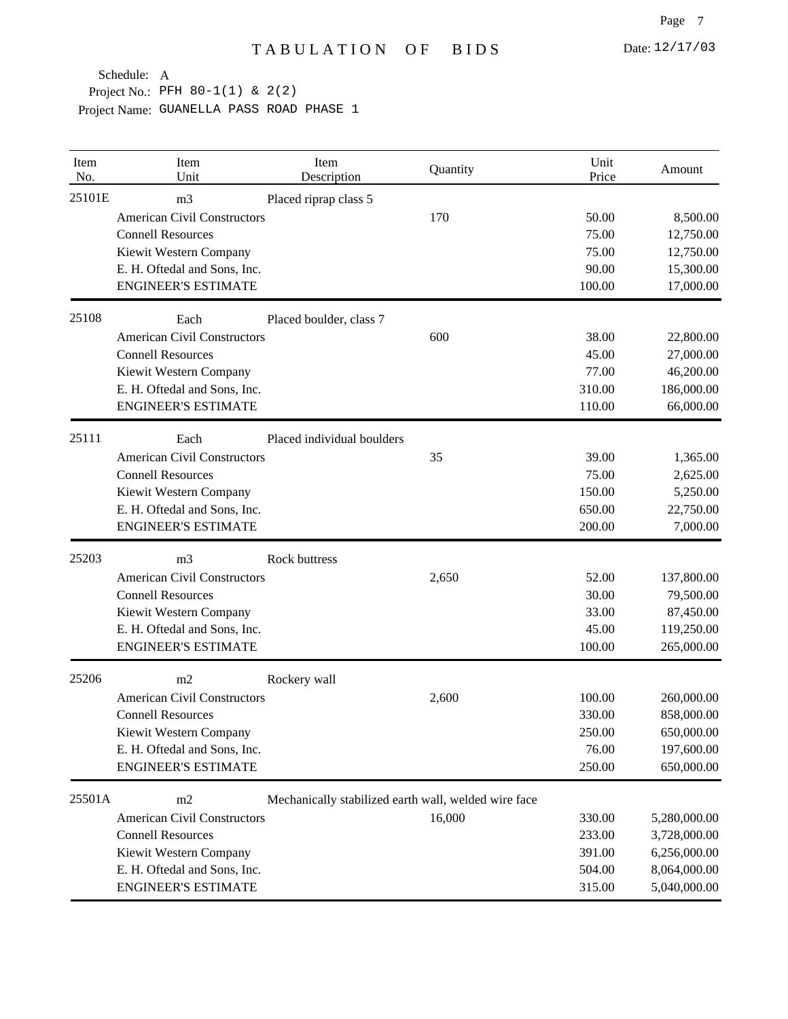| Item<br>No. | Item<br>Unit                       | Item<br>Description                                  | Quantity | Unit<br>Price | Amount       |
|-------------|------------------------------------|------------------------------------------------------|----------|---------------|--------------|
| 25101E      | m <sub>3</sub>                     | Placed riprap class 5                                |          |               |              |
|             | <b>American Civil Constructors</b> |                                                      | 170      | 50.00         | 8,500.00     |
|             | <b>Connell Resources</b>           |                                                      |          | 75.00         | 12,750.00    |
|             | Kiewit Western Company             |                                                      |          | 75.00         | 12,750.00    |
|             | E. H. Oftedal and Sons, Inc.       |                                                      |          | 90.00         | 15,300.00    |
|             | <b>ENGINEER'S ESTIMATE</b>         |                                                      |          | 100.00        | 17,000.00    |
| 25108       | Each                               | Placed boulder, class 7                              |          |               |              |
|             | <b>American Civil Constructors</b> |                                                      | 600      | 38.00         | 22,800.00    |
|             | <b>Connell Resources</b>           |                                                      |          | 45.00         | 27,000.00    |
|             | Kiewit Western Company             |                                                      |          | 77.00         | 46,200.00    |
|             | E. H. Oftedal and Sons, Inc.       |                                                      |          | 310.00        | 186,000.00   |
|             | <b>ENGINEER'S ESTIMATE</b>         |                                                      |          | 110.00        | 66,000.00    |
| 25111       | Each                               | Placed individual boulders                           |          |               |              |
|             | <b>American Civil Constructors</b> |                                                      | 35       | 39.00         | 1,365.00     |
|             | <b>Connell Resources</b>           |                                                      |          | 75.00         | 2,625.00     |
|             | Kiewit Western Company             |                                                      |          | 150.00        | 5,250.00     |
|             | E. H. Oftedal and Sons, Inc.       |                                                      |          | 650.00        | 22,750.00    |
|             | <b>ENGINEER'S ESTIMATE</b>         |                                                      |          | 200.00        | 7,000.00     |
| 25203       | m <sub>3</sub>                     | Rock buttress                                        |          |               |              |
|             | <b>American Civil Constructors</b> |                                                      | 2,650    | 52.00         | 137,800.00   |
|             | <b>Connell Resources</b>           |                                                      |          | 30.00         | 79,500.00    |
|             | Kiewit Western Company             |                                                      |          | 33.00         | 87,450.00    |
|             | E. H. Oftedal and Sons, Inc.       |                                                      |          | 45.00         | 119,250.00   |
|             | <b>ENGINEER'S ESTIMATE</b>         |                                                      |          | 100.00        | 265,000.00   |
| 25206       | m2                                 | Rockery wall                                         |          |               |              |
|             | <b>American Civil Constructors</b> |                                                      | 2,600    | 100.00        | 260,000.00   |
|             | <b>Connell Resources</b>           |                                                      |          | 330.00        | 858,000.00   |
|             | Kiewit Western Company             |                                                      |          | 250.00        | 650,000.00   |
|             | E. H. Oftedal and Sons, Inc.       |                                                      |          | 76.00         | 197,600.00   |
|             | <b>ENGINEER'S ESTIMATE</b>         |                                                      |          | 250.00        | 650,000.00   |
| 25501A      | m2                                 | Mechanically stabilized earth wall, welded wire face |          |               |              |
|             | <b>American Civil Constructors</b> |                                                      | 16,000   | 330.00        | 5,280,000.00 |
|             | <b>Connell Resources</b>           |                                                      |          | 233.00        | 3,728,000.00 |
|             | Kiewit Western Company             |                                                      |          | 391.00        | 6,256,000.00 |
|             | E. H. Oftedal and Sons, Inc.       |                                                      |          | 504.00        | 8,064,000.00 |
|             | <b>ENGINEER'S ESTIMATE</b>         |                                                      |          | 315.00        | 5,040,000.00 |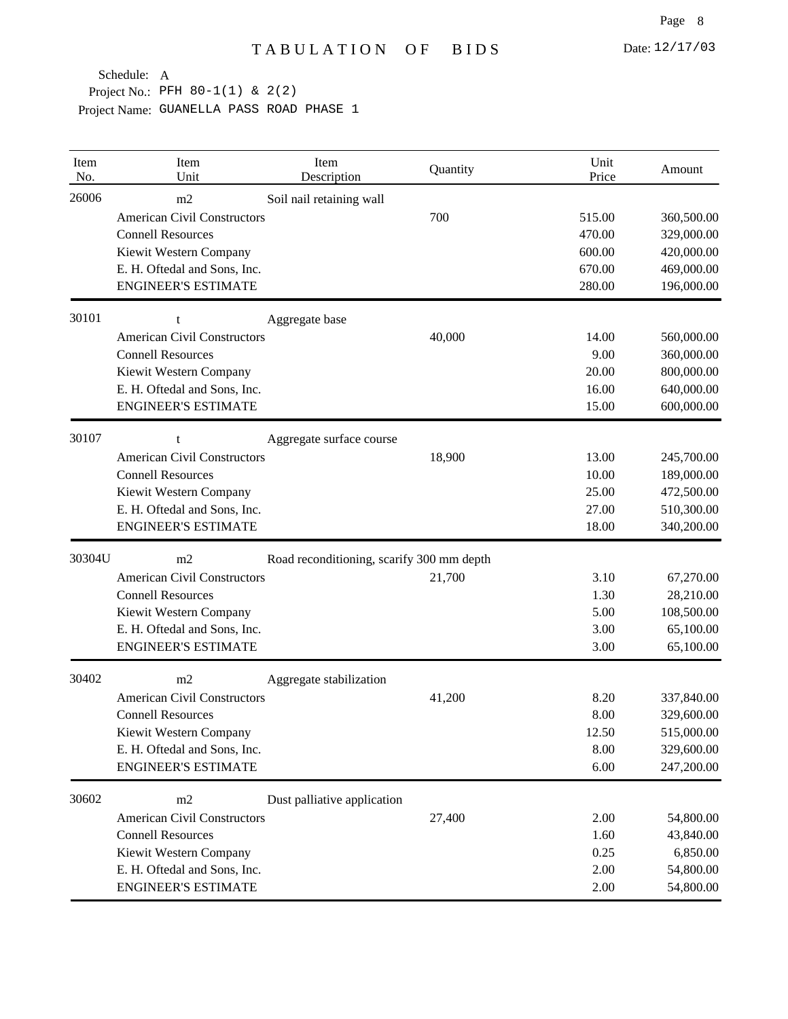| Item<br>No. | Item<br>Unit                       | Item<br>Description                       | Quantity | Unit<br>Price | Amount     |
|-------------|------------------------------------|-------------------------------------------|----------|---------------|------------|
| 26006       | m2                                 | Soil nail retaining wall                  |          |               |            |
|             | <b>American Civil Constructors</b> |                                           | 700      | 515.00        | 360,500.00 |
|             | <b>Connell Resources</b>           |                                           |          | 470.00        | 329,000.00 |
|             | Kiewit Western Company             |                                           |          | 600.00        | 420,000.00 |
|             | E. H. Oftedal and Sons, Inc.       |                                           |          | 670.00        | 469,000.00 |
|             | <b>ENGINEER'S ESTIMATE</b>         |                                           |          | 280.00        | 196,000.00 |
| 30101       | t                                  | Aggregate base                            |          |               |            |
|             | <b>American Civil Constructors</b> |                                           | 40,000   | 14.00         | 560,000.00 |
|             | <b>Connell Resources</b>           |                                           |          | 9.00          | 360,000.00 |
|             | Kiewit Western Company             |                                           |          | 20.00         | 800,000.00 |
|             | E. H. Oftedal and Sons, Inc.       |                                           |          | 16.00         | 640,000.00 |
|             | <b>ENGINEER'S ESTIMATE</b>         |                                           |          | 15.00         | 600,000.00 |
| 30107       | t                                  | Aggregate surface course                  |          |               |            |
|             | <b>American Civil Constructors</b> |                                           | 18,900   | 13.00         | 245,700.00 |
|             | <b>Connell Resources</b>           |                                           |          | 10.00         | 189,000.00 |
|             | Kiewit Western Company             |                                           |          | 25.00         | 472,500.00 |
|             | E. H. Oftedal and Sons, Inc.       |                                           |          | 27.00         | 510,300.00 |
|             | <b>ENGINEER'S ESTIMATE</b>         |                                           |          | 18.00         | 340,200.00 |
| 30304U      | m2                                 | Road reconditioning, scarify 300 mm depth |          |               |            |
|             | <b>American Civil Constructors</b> |                                           | 21,700   | 3.10          | 67,270.00  |
|             | <b>Connell Resources</b>           |                                           |          | 1.30          | 28,210.00  |
|             | Kiewit Western Company             |                                           |          | 5.00          | 108,500.00 |
|             | E. H. Oftedal and Sons, Inc.       |                                           |          | 3.00          | 65,100.00  |
|             | <b>ENGINEER'S ESTIMATE</b>         |                                           |          | 3.00          | 65,100.00  |
| 30402       | m2                                 | Aggregate stabilization                   |          |               |            |
|             | <b>American Civil Constructors</b> |                                           | 41,200   | 8.20          | 337,840.00 |
|             | <b>Connell Resources</b>           |                                           |          | 8.00          | 329,600.00 |
|             | Kiewit Western Company             |                                           |          | 12.50         | 515,000.00 |
|             | E. H. Oftedal and Sons, Inc.       |                                           |          | 8.00          | 329,600.00 |
|             | <b>ENGINEER'S ESTIMATE</b>         |                                           |          | 6.00          | 247,200.00 |
| 30602       | m2                                 | Dust palliative application               |          |               |            |
|             | <b>American Civil Constructors</b> |                                           | 27,400   | 2.00          | 54,800.00  |
|             | <b>Connell Resources</b>           |                                           |          | 1.60          | 43,840.00  |
|             | Kiewit Western Company             |                                           |          | 0.25          | 6,850.00   |
|             | E. H. Oftedal and Sons, Inc.       |                                           |          | 2.00          | 54,800.00  |
|             | <b>ENGINEER'S ESTIMATE</b>         |                                           |          | 2.00          | 54,800.00  |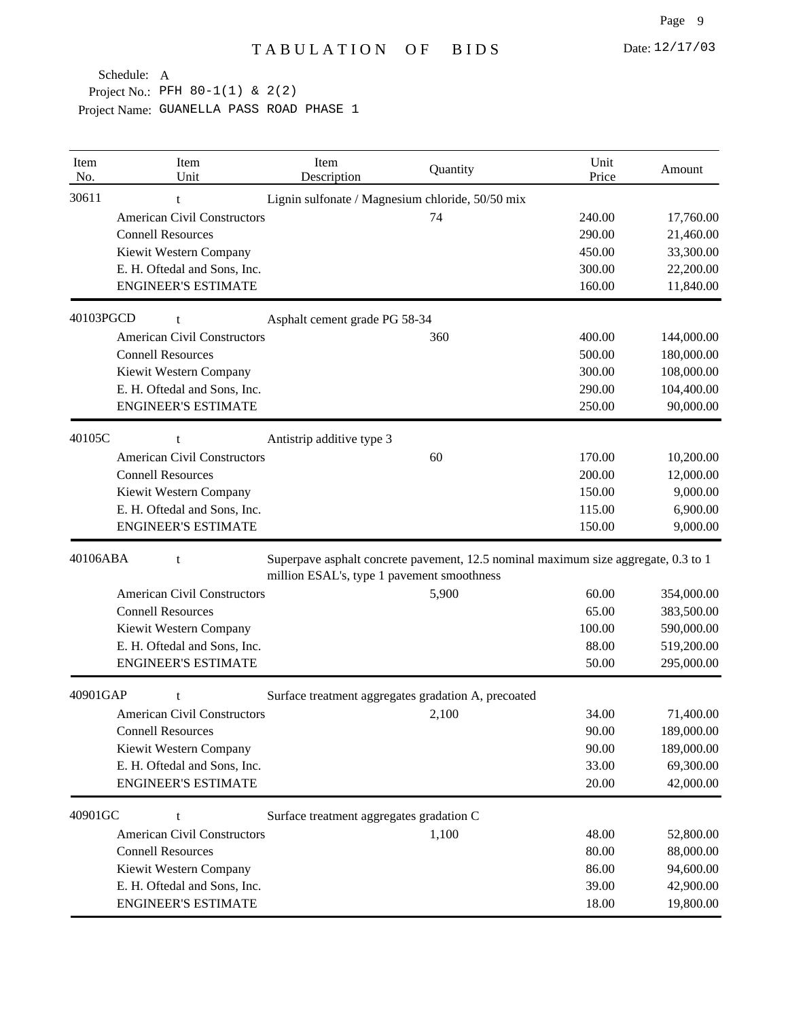| Item<br>No. | Item<br>Unit                       | Item<br>Description                                                                                                              | Quantity | Unit<br>Price | Amount     |
|-------------|------------------------------------|----------------------------------------------------------------------------------------------------------------------------------|----------|---------------|------------|
| 30611       | t                                  | Lignin sulfonate / Magnesium chloride, 50/50 mix                                                                                 |          |               |            |
|             | <b>American Civil Constructors</b> |                                                                                                                                  | 74       | 240.00        | 17,760.00  |
|             | <b>Connell Resources</b>           |                                                                                                                                  |          | 290.00        | 21,460.00  |
|             | Kiewit Western Company             |                                                                                                                                  |          | 450.00        | 33,300.00  |
|             | E. H. Oftedal and Sons, Inc.       |                                                                                                                                  |          | 300.00        | 22,200.00  |
|             | <b>ENGINEER'S ESTIMATE</b>         |                                                                                                                                  |          | 160.00        | 11,840.00  |
| 40103PGCD   | t                                  | Asphalt cement grade PG 58-34                                                                                                    |          |               |            |
|             | <b>American Civil Constructors</b> |                                                                                                                                  | 360      | 400.00        | 144,000.00 |
|             | <b>Connell Resources</b>           |                                                                                                                                  |          | 500.00        | 180,000.00 |
|             | Kiewit Western Company             |                                                                                                                                  |          | 300.00        | 108,000.00 |
|             | E. H. Oftedal and Sons, Inc.       |                                                                                                                                  |          | 290.00        | 104,400.00 |
|             | <b>ENGINEER'S ESTIMATE</b>         |                                                                                                                                  |          | 250.00        | 90,000.00  |
| 40105C      | t                                  | Antistrip additive type 3                                                                                                        |          |               |            |
|             | <b>American Civil Constructors</b> |                                                                                                                                  | 60       | 170.00        | 10,200.00  |
|             | <b>Connell Resources</b>           |                                                                                                                                  |          | 200.00        | 12,000.00  |
|             | Kiewit Western Company             |                                                                                                                                  |          | 150.00        | 9,000.00   |
|             | E. H. Oftedal and Sons, Inc.       |                                                                                                                                  |          | 115.00        | 6,900.00   |
|             | <b>ENGINEER'S ESTIMATE</b>         |                                                                                                                                  |          | 150.00        | 9,000.00   |
| 40106ABA    | t                                  | Superpave asphalt concrete pavement, 12.5 nominal maximum size aggregate, 0.3 to 1<br>million ESAL's, type 1 pavement smoothness |          |               |            |
|             | <b>American Civil Constructors</b> |                                                                                                                                  | 5,900    | 60.00         | 354,000.00 |
|             | <b>Connell Resources</b>           |                                                                                                                                  |          | 65.00         | 383,500.00 |
|             | Kiewit Western Company             |                                                                                                                                  |          | 100.00        | 590,000.00 |
|             | E. H. Oftedal and Sons, Inc.       |                                                                                                                                  |          | 88.00         | 519,200.00 |
|             | <b>ENGINEER'S ESTIMATE</b>         |                                                                                                                                  |          | 50.00         | 295,000.00 |
| 40901GAP    |                                    | Surface treatment aggregates gradation A, precoated                                                                              |          |               |            |
|             | <b>American Civil Constructors</b> |                                                                                                                                  | 2,100    | 34.00         | 71,400.00  |
|             | <b>Connell Resources</b>           |                                                                                                                                  |          | 90.00         | 189,000.00 |
|             | Kiewit Western Company             |                                                                                                                                  |          | 90.00         | 189,000.00 |
|             | E. H. Oftedal and Sons, Inc.       |                                                                                                                                  |          | 33.00         | 69,300.00  |
|             | <b>ENGINEER'S ESTIMATE</b>         |                                                                                                                                  |          | 20.00         | 42,000.00  |
| 40901GC     | $\mathbf{f}$                       | Surface treatment aggregates gradation C                                                                                         |          |               |            |
|             | <b>American Civil Constructors</b> |                                                                                                                                  | 1,100    | 48.00         | 52,800.00  |
|             | <b>Connell Resources</b>           |                                                                                                                                  |          | 80.00         | 88,000.00  |
|             | Kiewit Western Company             |                                                                                                                                  |          | 86.00         | 94,600.00  |
|             | E. H. Oftedal and Sons, Inc.       |                                                                                                                                  |          | 39.00         | 42,900.00  |
|             | <b>ENGINEER'S ESTIMATE</b>         |                                                                                                                                  |          | 18.00         | 19,800.00  |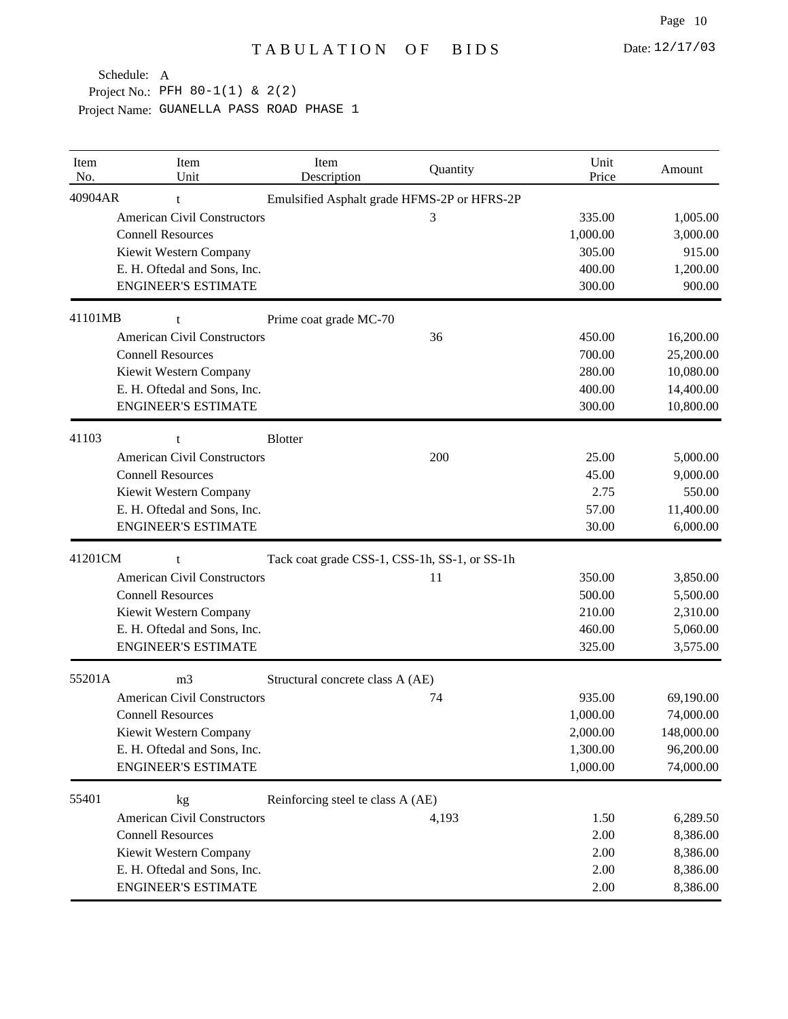| Item<br>No. | Item<br>Unit                       | Item<br>Description               | Quantity                                      | Unit<br>Price | Amount     |
|-------------|------------------------------------|-----------------------------------|-----------------------------------------------|---------------|------------|
| 40904AR     | t                                  |                                   | Emulsified Asphalt grade HFMS-2P or HFRS-2P   |               |            |
|             | <b>American Civil Constructors</b> |                                   | 3                                             | 335.00        | 1,005.00   |
|             | <b>Connell Resources</b>           |                                   |                                               | 1,000.00      | 3,000.00   |
|             | Kiewit Western Company             |                                   |                                               | 305.00        | 915.00     |
|             | E. H. Oftedal and Sons, Inc.       |                                   |                                               | 400.00        | 1,200.00   |
|             | <b>ENGINEER'S ESTIMATE</b>         |                                   |                                               | 300.00        | 900.00     |
| 41101MB     | t                                  | Prime coat grade MC-70            |                                               |               |            |
|             | <b>American Civil Constructors</b> |                                   | 36                                            | 450.00        | 16,200.00  |
|             | <b>Connell Resources</b>           |                                   |                                               | 700.00        | 25,200.00  |
|             | Kiewit Western Company             |                                   |                                               | 280.00        | 10,080.00  |
|             | E. H. Oftedal and Sons, Inc.       |                                   |                                               | 400.00        | 14,400.00  |
|             | <b>ENGINEER'S ESTIMATE</b>         |                                   |                                               | 300.00        | 10,800.00  |
| 41103       | t                                  | <b>Blotter</b>                    |                                               |               |            |
|             | <b>American Civil Constructors</b> |                                   | 200                                           | 25.00         | 5,000.00   |
|             | <b>Connell Resources</b>           |                                   |                                               | 45.00         | 9,000.00   |
|             | Kiewit Western Company             |                                   |                                               | 2.75          | 550.00     |
|             | E. H. Oftedal and Sons, Inc.       |                                   |                                               | 57.00         | 11,400.00  |
|             | <b>ENGINEER'S ESTIMATE</b>         |                                   |                                               | 30.00         | 6,000.00   |
| 41201CM     |                                    |                                   | Tack coat grade CSS-1, CSS-1h, SS-1, or SS-1h |               |            |
|             | <b>American Civil Constructors</b> |                                   | 11                                            | 350.00        | 3,850.00   |
|             | <b>Connell Resources</b>           |                                   |                                               | 500.00        | 5,500.00   |
|             | Kiewit Western Company             |                                   |                                               | 210.00        | 2,310.00   |
|             | E. H. Oftedal and Sons, Inc.       |                                   |                                               | 460.00        | 5,060.00   |
|             | <b>ENGINEER'S ESTIMATE</b>         |                                   |                                               | 325.00        | 3,575.00   |
| 55201A      | m <sub>3</sub>                     | Structural concrete class A (AE)  |                                               |               |            |
|             | <b>American Civil Constructors</b> |                                   | 74                                            | 935.00        | 69,190.00  |
|             | <b>Connell Resources</b>           |                                   |                                               | 1,000.00      | 74,000.00  |
|             | Kiewit Western Company             |                                   |                                               | 2,000.00      | 148,000.00 |
|             | E. H. Oftedal and Sons, Inc.       |                                   |                                               | 1,300.00      | 96,200.00  |
|             | <b>ENGINEER'S ESTIMATE</b>         |                                   |                                               | 1,000.00      | 74,000.00  |
| 55401       | kg                                 | Reinforcing steel te class A (AE) |                                               |               |            |
|             | <b>American Civil Constructors</b> |                                   | 4,193                                         | 1.50          | 6,289.50   |
|             | <b>Connell Resources</b>           |                                   |                                               | 2.00          | 8,386.00   |
|             | Kiewit Western Company             |                                   |                                               | 2.00          | 8,386.00   |
|             | E. H. Oftedal and Sons, Inc.       |                                   |                                               | 2.00          | 8,386.00   |
|             | <b>ENGINEER'S ESTIMATE</b>         |                                   |                                               | 2.00          | 8,386.00   |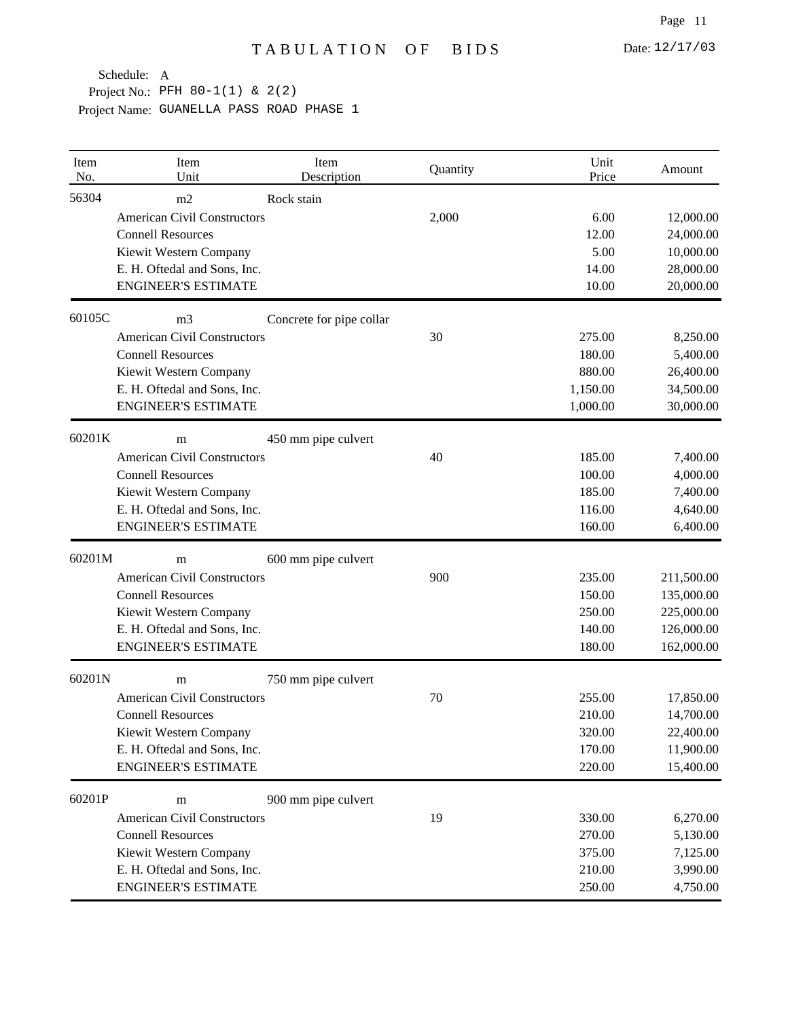| Item<br>No. | Item<br>Unit                       | Item<br>Description      | Quantity | Unit<br>Price | Amount     |
|-------------|------------------------------------|--------------------------|----------|---------------|------------|
| 56304       | m2                                 | Rock stain               |          |               |            |
|             | <b>American Civil Constructors</b> |                          | 2,000    | 6.00          | 12,000.00  |
|             | <b>Connell Resources</b>           |                          |          | 12.00         | 24,000.00  |
|             | Kiewit Western Company             |                          |          | 5.00          | 10,000.00  |
|             | E. H. Oftedal and Sons, Inc.       |                          |          | 14.00         | 28,000.00  |
|             | <b>ENGINEER'S ESTIMATE</b>         |                          |          | 10.00         | 20,000.00  |
| 60105C      | m <sub>3</sub>                     | Concrete for pipe collar |          |               |            |
|             | <b>American Civil Constructors</b> |                          | 30       | 275.00        | 8,250.00   |
|             | <b>Connell Resources</b>           |                          |          | 180.00        | 5,400.00   |
|             | Kiewit Western Company             |                          |          | 880.00        | 26,400.00  |
|             | E. H. Oftedal and Sons, Inc.       |                          |          | 1,150.00      | 34,500.00  |
|             | <b>ENGINEER'S ESTIMATE</b>         |                          |          | 1,000.00      | 30,000.00  |
| 60201K      | m                                  | 450 mm pipe culvert      |          |               |            |
|             | <b>American Civil Constructors</b> |                          | 40       | 185.00        | 7,400.00   |
|             | <b>Connell Resources</b>           |                          |          | 100.00        | 4,000.00   |
|             | Kiewit Western Company             |                          |          | 185.00        | 7,400.00   |
|             | E. H. Oftedal and Sons, Inc.       |                          |          | 116.00        | 4,640.00   |
|             | <b>ENGINEER'S ESTIMATE</b>         |                          |          | 160.00        | 6,400.00   |
| 60201M      | m                                  | 600 mm pipe culvert      |          |               |            |
|             | <b>American Civil Constructors</b> |                          | 900      | 235.00        | 211,500.00 |
|             | <b>Connell Resources</b>           |                          |          | 150.00        | 135,000.00 |
|             | Kiewit Western Company             |                          |          | 250.00        | 225,000.00 |
|             | E. H. Oftedal and Sons, Inc.       |                          |          | 140.00        | 126,000.00 |
|             | <b>ENGINEER'S ESTIMATE</b>         |                          |          | 180.00        | 162,000.00 |
| 60201N      | m                                  | 750 mm pipe culvert      |          |               |            |
|             | <b>American Civil Constructors</b> |                          | 70       | 255.00        | 17,850.00  |
|             | <b>Connell Resources</b>           |                          |          | 210.00        | 14,700.00  |
|             | Kiewit Western Company             |                          |          | 320.00        | 22,400.00  |
|             | E. H. Oftedal and Sons, Inc.       |                          |          | 170.00        | 11,900.00  |
|             | <b>ENGINEER'S ESTIMATE</b>         |                          |          | 220.00        | 15,400.00  |
| 60201P      | m                                  | 900 mm pipe culvert      |          |               |            |
|             | <b>American Civil Constructors</b> |                          | 19       | 330.00        | 6,270.00   |
|             | <b>Connell Resources</b>           |                          |          | 270.00        | 5,130.00   |
|             | Kiewit Western Company             |                          |          | 375.00        | 7,125.00   |
|             | E. H. Oftedal and Sons, Inc.       |                          |          | 210.00        | 3,990.00   |
|             | <b>ENGINEER'S ESTIMATE</b>         |                          |          | 250.00        | 4,750.00   |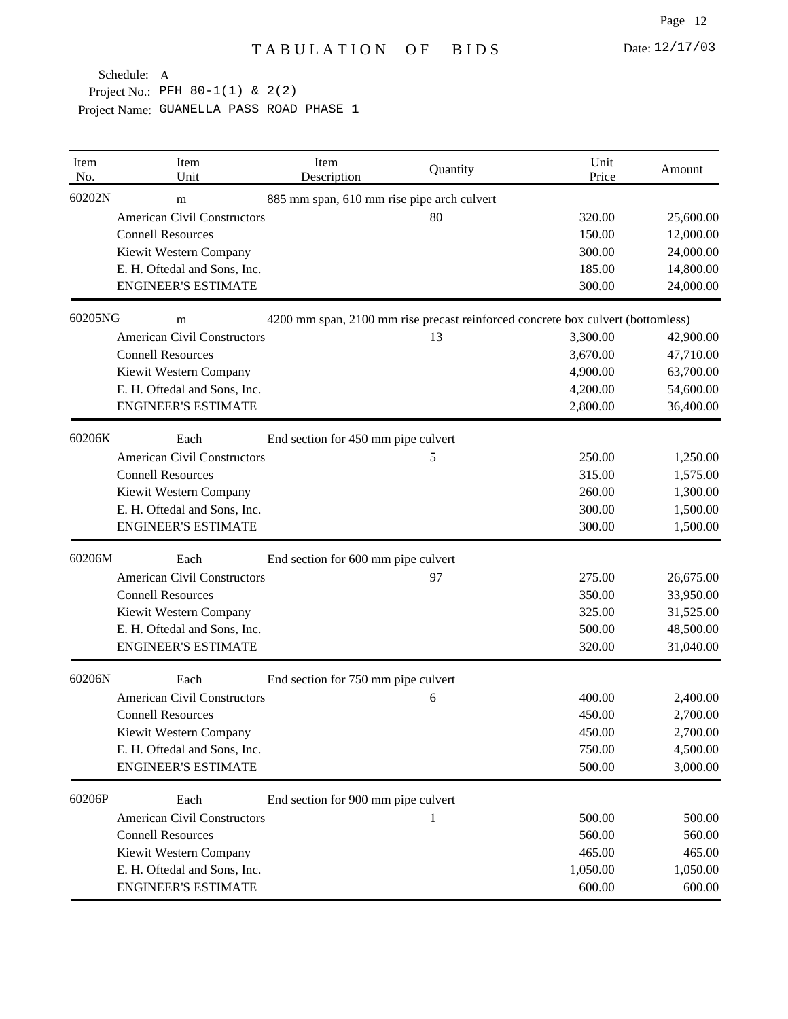| Item<br>No. | Item<br>Unit                       | Item<br>Description                        | Quantity | Unit<br>Price                                                                   | Amount    |
|-------------|------------------------------------|--------------------------------------------|----------|---------------------------------------------------------------------------------|-----------|
| 60202N      | m                                  | 885 mm span, 610 mm rise pipe arch culvert |          |                                                                                 |           |
|             | <b>American Civil Constructors</b> |                                            | 80       | 320.00                                                                          | 25,600.00 |
|             | <b>Connell Resources</b>           |                                            |          | 150.00                                                                          | 12,000.00 |
|             | Kiewit Western Company             |                                            |          | 300.00                                                                          | 24,000.00 |
|             | E. H. Oftedal and Sons, Inc.       |                                            |          | 185.00                                                                          | 14,800.00 |
|             | <b>ENGINEER'S ESTIMATE</b>         |                                            |          | 300.00                                                                          | 24,000.00 |
| 60205NG     | m                                  |                                            |          | 4200 mm span, 2100 mm rise precast reinforced concrete box culvert (bottomless) |           |
|             | <b>American Civil Constructors</b> |                                            | 13       | 3,300.00                                                                        | 42,900.00 |
|             | <b>Connell Resources</b>           |                                            |          | 3,670.00                                                                        | 47,710.00 |
|             | Kiewit Western Company             |                                            |          | 4,900.00                                                                        | 63,700.00 |
|             | E. H. Oftedal and Sons, Inc.       |                                            |          | 4,200.00                                                                        | 54,600.00 |
|             | <b>ENGINEER'S ESTIMATE</b>         |                                            |          | 2,800.00                                                                        | 36,400.00 |
| 60206K      | Each                               | End section for 450 mm pipe culvert        |          |                                                                                 |           |
|             | <b>American Civil Constructors</b> |                                            | 5        | 250.00                                                                          | 1,250.00  |
|             | <b>Connell Resources</b>           |                                            |          | 315.00                                                                          | 1,575.00  |
|             | Kiewit Western Company             |                                            |          | 260.00                                                                          | 1,300.00  |
|             | E. H. Oftedal and Sons, Inc.       |                                            |          | 300.00                                                                          | 1,500.00  |
|             | <b>ENGINEER'S ESTIMATE</b>         |                                            |          | 300.00                                                                          | 1,500.00  |
| 60206M      | Each                               | End section for 600 mm pipe culvert        |          |                                                                                 |           |
|             | <b>American Civil Constructors</b> |                                            | 97       | 275.00                                                                          | 26,675.00 |
|             | <b>Connell Resources</b>           |                                            |          | 350.00                                                                          | 33,950.00 |
|             | Kiewit Western Company             |                                            |          | 325.00                                                                          | 31,525.00 |
|             | E. H. Oftedal and Sons, Inc.       |                                            |          | 500.00                                                                          | 48,500.00 |
|             | <b>ENGINEER'S ESTIMATE</b>         |                                            |          | 320.00                                                                          | 31,040.00 |
| 60206N      | Each                               | End section for 750 mm pipe culvert        |          |                                                                                 |           |
|             | <b>American Civil Constructors</b> |                                            | 6        | 400.00                                                                          | 2,400.00  |
|             | <b>Connell Resources</b>           |                                            |          | 450.00                                                                          | 2,700.00  |
|             | Kiewit Western Company             |                                            |          | 450.00                                                                          | 2,700.00  |
|             | E. H. Oftedal and Sons, Inc.       |                                            |          | 750.00                                                                          | 4,500.00  |
|             | <b>ENGINEER'S ESTIMATE</b>         |                                            |          | 500.00                                                                          | 3,000.00  |
| 60206P      | Each                               | End section for 900 mm pipe culvert        |          |                                                                                 |           |
|             | <b>American Civil Constructors</b> |                                            | 1        | 500.00                                                                          | 500.00    |
|             | <b>Connell Resources</b>           |                                            |          | 560.00                                                                          | 560.00    |
|             | Kiewit Western Company             |                                            |          | 465.00                                                                          | 465.00    |
|             | E. H. Oftedal and Sons, Inc.       |                                            |          | 1,050.00                                                                        | 1,050.00  |
|             | <b>ENGINEER'S ESTIMATE</b>         |                                            |          | 600.00                                                                          | 600.00    |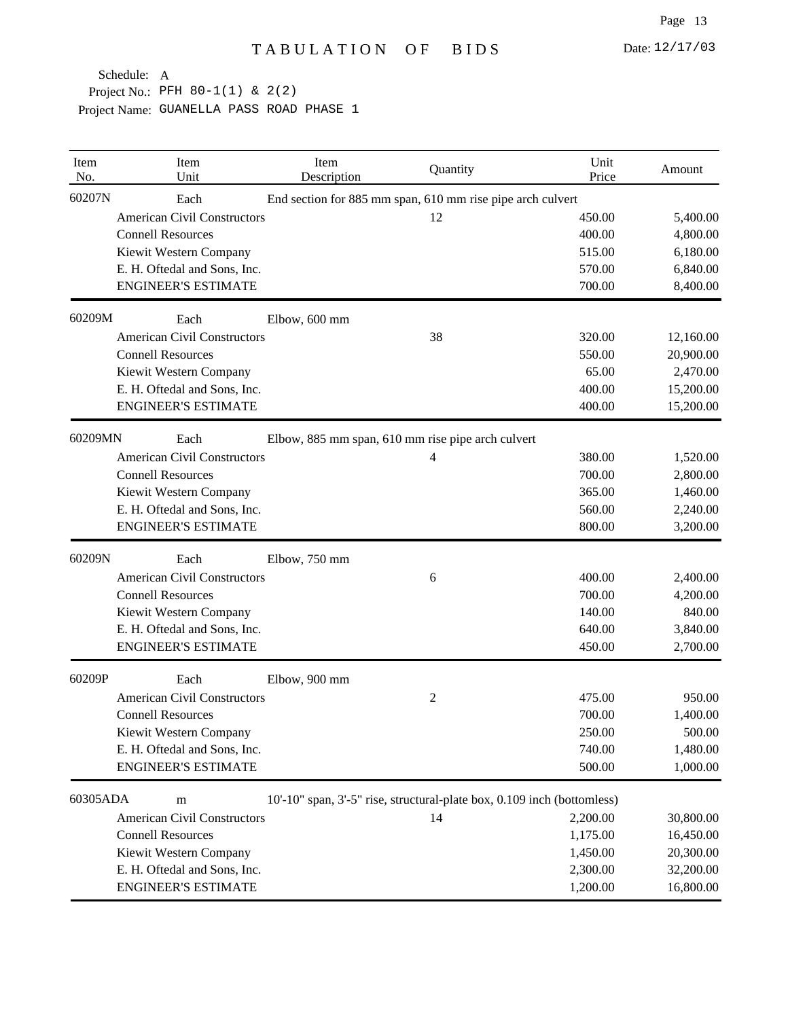| Item<br>No. | Item<br>Unit                       | Item<br>Description | Quantity                                                                | Unit<br>Price | Amount    |
|-------------|------------------------------------|---------------------|-------------------------------------------------------------------------|---------------|-----------|
| 60207N      | Each                               |                     | End section for 885 mm span, 610 mm rise pipe arch culvert              |               |           |
|             | <b>American Civil Constructors</b> |                     | 12                                                                      | 450.00        | 5,400.00  |
|             | <b>Connell Resources</b>           |                     |                                                                         | 400.00        | 4,800.00  |
|             | Kiewit Western Company             |                     |                                                                         | 515.00        | 6,180.00  |
|             | E. H. Oftedal and Sons, Inc.       |                     |                                                                         | 570.00        | 6,840.00  |
|             | <b>ENGINEER'S ESTIMATE</b>         |                     |                                                                         | 700.00        | 8,400.00  |
| 60209M      | Each                               | Elbow, 600 mm       |                                                                         |               |           |
|             | <b>American Civil Constructors</b> |                     | 38                                                                      | 320.00        | 12,160.00 |
|             | <b>Connell Resources</b>           |                     |                                                                         | 550.00        | 20,900.00 |
|             | Kiewit Western Company             |                     |                                                                         | 65.00         | 2,470.00  |
|             | E. H. Oftedal and Sons, Inc.       |                     |                                                                         | 400.00        | 15,200.00 |
|             | <b>ENGINEER'S ESTIMATE</b>         |                     |                                                                         | 400.00        | 15,200.00 |
| 60209MN     | Each                               |                     | Elbow, 885 mm span, 610 mm rise pipe arch culvert                       |               |           |
|             | <b>American Civil Constructors</b> |                     | 4                                                                       | 380.00        | 1,520.00  |
|             | <b>Connell Resources</b>           |                     |                                                                         | 700.00        | 2,800.00  |
|             | Kiewit Western Company             |                     |                                                                         | 365.00        | 1,460.00  |
|             | E. H. Oftedal and Sons, Inc.       |                     |                                                                         | 560.00        | 2,240.00  |
|             | <b>ENGINEER'S ESTIMATE</b>         |                     |                                                                         | 800.00        | 3,200.00  |
| 60209N      | Each                               | Elbow, 750 mm       |                                                                         |               |           |
|             | <b>American Civil Constructors</b> |                     | 6                                                                       | 400.00        | 2,400.00  |
|             | <b>Connell Resources</b>           |                     |                                                                         | 700.00        | 4,200.00  |
|             | Kiewit Western Company             |                     |                                                                         | 140.00        | 840.00    |
|             | E. H. Oftedal and Sons, Inc.       |                     |                                                                         | 640.00        | 3,840.00  |
|             | <b>ENGINEER'S ESTIMATE</b>         |                     |                                                                         | 450.00        | 2,700.00  |
| 60209P      | Each                               | Elbow, 900 mm       |                                                                         |               |           |
|             | <b>American Civil Constructors</b> |                     | 2                                                                       | 475.00        | 950.00    |
|             | <b>Connell Resources</b>           |                     |                                                                         | 700.00        | 1,400.00  |
|             | Kiewit Western Company             |                     |                                                                         | 250.00        | 500.00    |
|             | E. H. Oftedal and Sons, Inc.       |                     |                                                                         | 740.00        | 1,480.00  |
|             | <b>ENGINEER'S ESTIMATE</b>         |                     |                                                                         | 500.00        | 1,000.00  |
| 60305ADA    | m                                  |                     | 10'-10" span, 3'-5" rise, structural-plate box, 0.109 inch (bottomless) |               |           |
|             | <b>American Civil Constructors</b> |                     | 14                                                                      | 2,200.00      | 30,800.00 |
|             | <b>Connell Resources</b>           |                     |                                                                         | 1,175.00      | 16,450.00 |
|             | Kiewit Western Company             |                     |                                                                         | 1,450.00      | 20,300.00 |
|             | E. H. Oftedal and Sons, Inc.       |                     |                                                                         | 2,300.00      | 32,200.00 |
|             | <b>ENGINEER'S ESTIMATE</b>         |                     |                                                                         | 1,200.00      | 16,800.00 |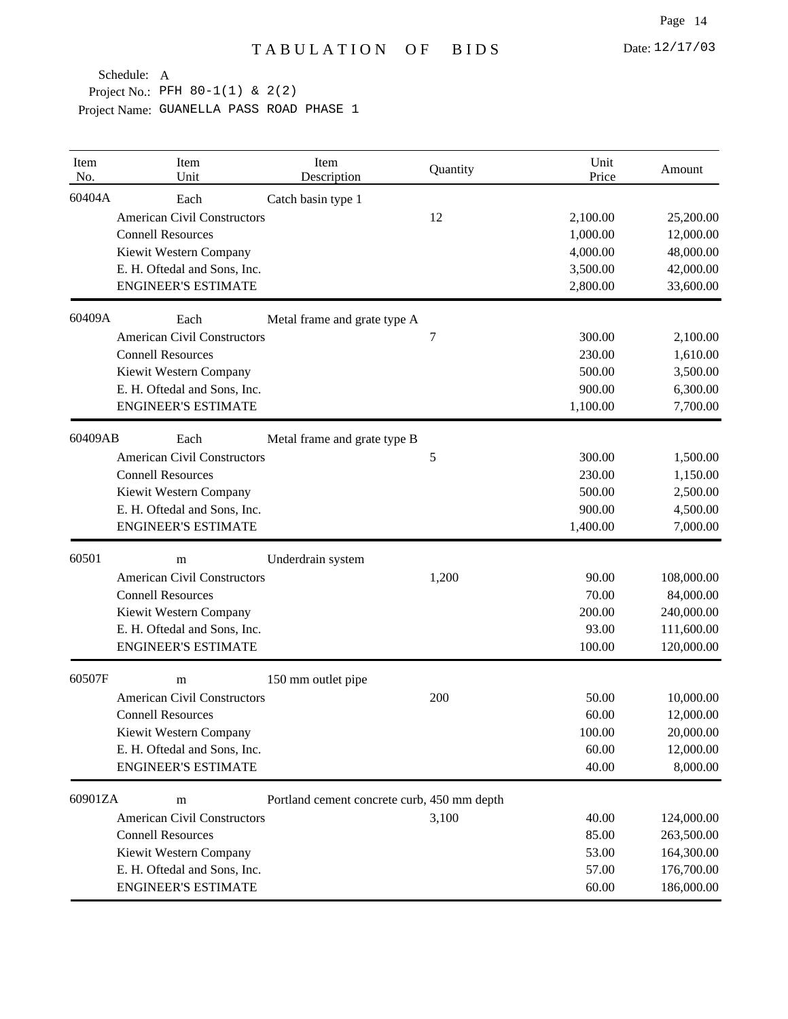| Item<br>No. | Item<br>Unit                       | Item<br>Description                         | Quantity | Unit<br>Price | Amount     |
|-------------|------------------------------------|---------------------------------------------|----------|---------------|------------|
| 60404A      | Each                               | Catch basin type 1                          |          |               |            |
|             | <b>American Civil Constructors</b> |                                             | 12       | 2,100.00      | 25,200.00  |
|             | <b>Connell Resources</b>           |                                             |          | 1,000.00      | 12,000.00  |
|             | Kiewit Western Company             |                                             |          | 4,000.00      | 48,000.00  |
|             | E. H. Oftedal and Sons, Inc.       |                                             |          | 3,500.00      | 42,000.00  |
|             | <b>ENGINEER'S ESTIMATE</b>         |                                             |          | 2,800.00      | 33,600.00  |
| 60409A      | Each                               | Metal frame and grate type A                |          |               |            |
|             | <b>American Civil Constructors</b> |                                             | 7        | 300.00        | 2,100.00   |
|             | <b>Connell Resources</b>           |                                             |          | 230.00        | 1,610.00   |
|             | Kiewit Western Company             |                                             |          | 500.00        | 3,500.00   |
|             | E. H. Oftedal and Sons, Inc.       |                                             |          | 900.00        | 6,300.00   |
|             | <b>ENGINEER'S ESTIMATE</b>         |                                             |          | 1,100.00      | 7,700.00   |
| 60409AB     | Each                               | Metal frame and grate type B                |          |               |            |
|             | <b>American Civil Constructors</b> |                                             | 5        | 300.00        | 1,500.00   |
|             | <b>Connell Resources</b>           |                                             |          | 230.00        | 1,150.00   |
|             | Kiewit Western Company             |                                             |          | 500.00        | 2,500.00   |
|             | E. H. Oftedal and Sons, Inc.       |                                             |          | 900.00        | 4,500.00   |
|             | <b>ENGINEER'S ESTIMATE</b>         |                                             |          | 1,400.00      | 7,000.00   |
| 60501       | m                                  | Underdrain system                           |          |               |            |
|             | <b>American Civil Constructors</b> |                                             | 1,200    | 90.00         | 108,000.00 |
|             | <b>Connell Resources</b>           |                                             |          | 70.00         | 84,000.00  |
|             | Kiewit Western Company             |                                             |          | 200.00        | 240,000.00 |
|             | E. H. Oftedal and Sons, Inc.       |                                             |          | 93.00         | 111,600.00 |
|             | <b>ENGINEER'S ESTIMATE</b>         |                                             |          | 100.00        | 120,000.00 |
| 60507F      | m                                  | 150 mm outlet pipe                          |          |               |            |
|             | <b>American Civil Constructors</b> |                                             | 200      | 50.00         | 10,000.00  |
|             | <b>Connell Resources</b>           |                                             |          | 60.00         | 12,000.00  |
|             | Kiewit Western Company             |                                             |          | 100.00        | 20,000.00  |
|             | E. H. Oftedal and Sons, Inc.       |                                             |          | 60.00         | 12,000.00  |
|             | <b>ENGINEER'S ESTIMATE</b>         |                                             |          | 40.00         | 8,000.00   |
| 60901ZA     | m                                  | Portland cement concrete curb, 450 mm depth |          |               |            |
|             | <b>American Civil Constructors</b> |                                             | 3,100    | 40.00         | 124,000.00 |
|             | <b>Connell Resources</b>           |                                             |          | 85.00         | 263,500.00 |
|             | Kiewit Western Company             |                                             |          | 53.00         | 164,300.00 |
|             | E. H. Oftedal and Sons, Inc.       |                                             |          | 57.00         | 176,700.00 |
|             | <b>ENGINEER'S ESTIMATE</b>         |                                             |          | 60.00         | 186,000.00 |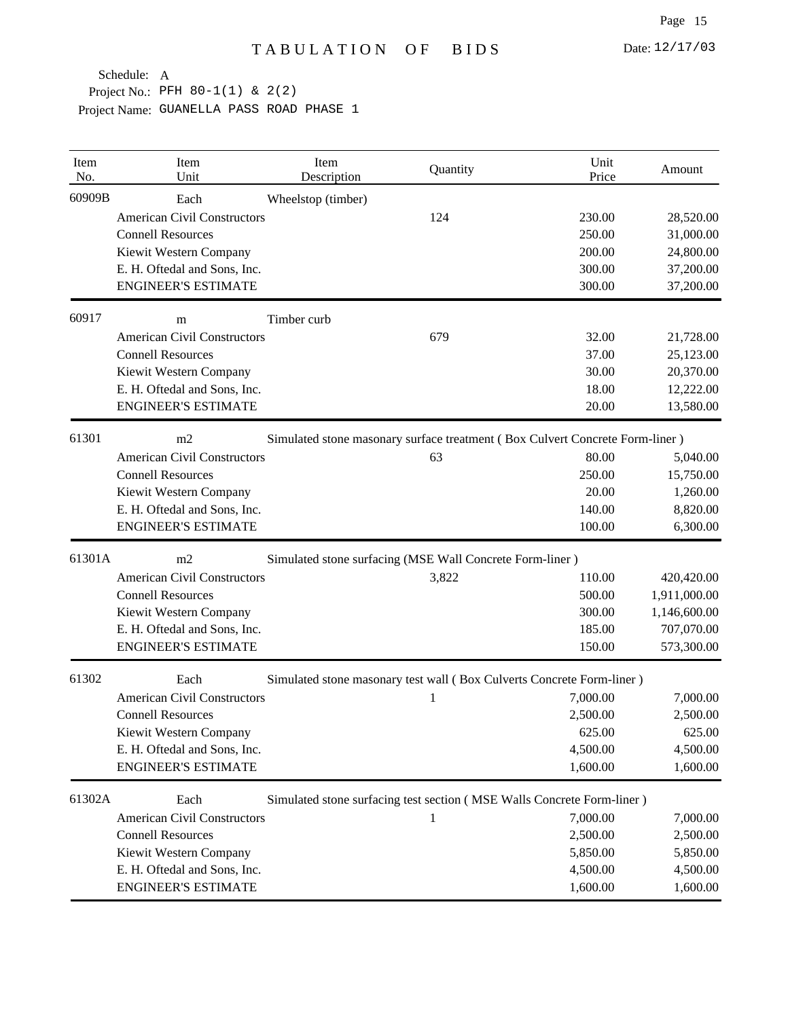| Item<br>No. | Item<br>Unit                       | Item<br>Description                                      | Quantity                                                                     | Unit<br>Price | Amount       |  |  |
|-------------|------------------------------------|----------------------------------------------------------|------------------------------------------------------------------------------|---------------|--------------|--|--|
| 60909B      | Each                               | Wheelstop (timber)                                       |                                                                              |               |              |  |  |
|             | <b>American Civil Constructors</b> |                                                          | 124                                                                          | 230.00        | 28,520.00    |  |  |
|             | <b>Connell Resources</b>           |                                                          |                                                                              | 250.00        | 31,000.00    |  |  |
|             | Kiewit Western Company             |                                                          |                                                                              | 200.00        | 24,800.00    |  |  |
|             | E. H. Oftedal and Sons, Inc.       |                                                          |                                                                              | 300.00        | 37,200.00    |  |  |
|             | <b>ENGINEER'S ESTIMATE</b>         |                                                          |                                                                              | 300.00        | 37,200.00    |  |  |
| 60917       | m                                  | Timber curb                                              |                                                                              |               |              |  |  |
|             | <b>American Civil Constructors</b> |                                                          | 679                                                                          | 32.00         | 21,728.00    |  |  |
|             | <b>Connell Resources</b>           |                                                          |                                                                              | 37.00         | 25,123.00    |  |  |
|             | Kiewit Western Company             |                                                          |                                                                              | 30.00         | 20,370.00    |  |  |
|             | E. H. Oftedal and Sons, Inc.       |                                                          |                                                                              | 18.00         | 12,222.00    |  |  |
|             | <b>ENGINEER'S ESTIMATE</b>         |                                                          |                                                                              | 20.00         | 13,580.00    |  |  |
| 61301       | m2                                 |                                                          | Simulated stone masonary surface treatment (Box Culvert Concrete Form-liner) |               |              |  |  |
|             | <b>American Civil Constructors</b> |                                                          | 63                                                                           | 80.00         | 5,040.00     |  |  |
|             | <b>Connell Resources</b>           |                                                          |                                                                              | 250.00        | 15,750.00    |  |  |
|             | Kiewit Western Company             |                                                          |                                                                              | 20.00         | 1,260.00     |  |  |
|             | E. H. Oftedal and Sons, Inc.       |                                                          |                                                                              | 140.00        | 8,820.00     |  |  |
|             | <b>ENGINEER'S ESTIMATE</b>         |                                                          |                                                                              | 100.00        | 6,300.00     |  |  |
| 61301A      | m2                                 | Simulated stone surfacing (MSE Wall Concrete Form-liner) |                                                                              |               |              |  |  |
|             | <b>American Civil Constructors</b> |                                                          | 3,822                                                                        | 110.00        | 420,420.00   |  |  |
|             | <b>Connell Resources</b>           |                                                          |                                                                              | 500.00        | 1,911,000.00 |  |  |
|             | Kiewit Western Company             |                                                          |                                                                              | 300.00        | 1,146,600.00 |  |  |
|             | E. H. Oftedal and Sons, Inc.       |                                                          |                                                                              | 185.00        | 707,070.00   |  |  |
|             | <b>ENGINEER'S ESTIMATE</b>         |                                                          |                                                                              | 150.00        | 573,300.00   |  |  |
| 61302       | Each                               |                                                          | Simulated stone masonary test wall (Box Culverts Concrete Form-liner)        |               |              |  |  |
|             | <b>American Civil Constructors</b> |                                                          | 1                                                                            | 7,000.00      | 7,000.00     |  |  |
|             | <b>Connell Resources</b>           |                                                          |                                                                              | 2,500.00      | 2,500.00     |  |  |
|             | Kiewit Western Company             |                                                          |                                                                              | 625.00        | 625.00       |  |  |
|             | E. H. Oftedal and Sons, Inc.       |                                                          |                                                                              | 4,500.00      | 4,500.00     |  |  |
|             | <b>ENGINEER'S ESTIMATE</b>         |                                                          |                                                                              | 1,600.00      | 1,600.00     |  |  |
| 61302A      | Each                               |                                                          | Simulated stone surfacing test section (MSE Walls Concrete Form-liner)       |               |              |  |  |
|             | <b>American Civil Constructors</b> |                                                          | 1                                                                            | 7,000.00      | 7,000.00     |  |  |
|             | <b>Connell Resources</b>           |                                                          |                                                                              | 2,500.00      | 2,500.00     |  |  |
|             | Kiewit Western Company             |                                                          |                                                                              | 5,850.00      | 5,850.00     |  |  |
|             | E. H. Oftedal and Sons, Inc.       |                                                          |                                                                              | 4,500.00      | 4,500.00     |  |  |
|             | <b>ENGINEER'S ESTIMATE</b>         |                                                          |                                                                              | 1,600.00      | 1,600.00     |  |  |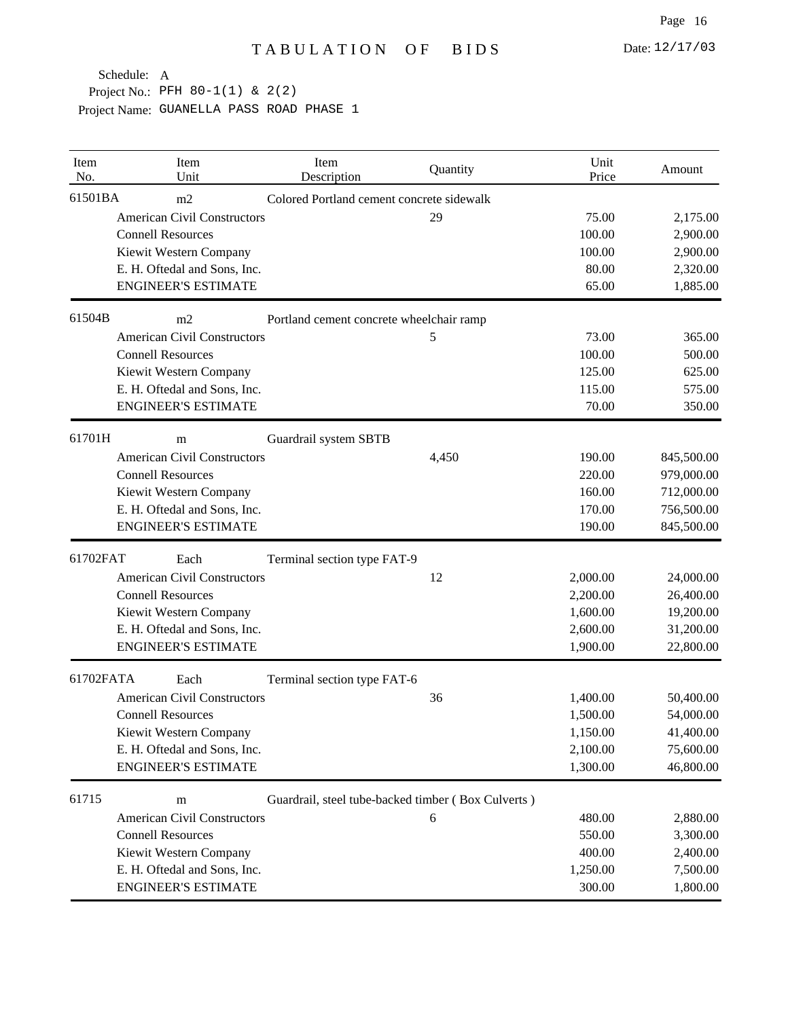| Item<br>No. | Item<br>Unit                       | Item<br>Description                                | Quantity | Unit<br>Price | Amount     |
|-------------|------------------------------------|----------------------------------------------------|----------|---------------|------------|
| 61501BA     | m2                                 | Colored Portland cement concrete sidewalk          |          |               |            |
|             | <b>American Civil Constructors</b> |                                                    | 29       | 75.00         | 2,175.00   |
|             | <b>Connell Resources</b>           |                                                    |          | 100.00        | 2,900.00   |
|             | Kiewit Western Company             |                                                    |          | 100.00        | 2,900.00   |
|             | E. H. Oftedal and Sons, Inc.       |                                                    |          | 80.00         | 2,320.00   |
|             | <b>ENGINEER'S ESTIMATE</b>         |                                                    |          | 65.00         | 1,885.00   |
| 61504B      | m2                                 | Portland cement concrete wheelchair ramp           |          |               |            |
|             | <b>American Civil Constructors</b> |                                                    | 5        | 73.00         | 365.00     |
|             | <b>Connell Resources</b>           |                                                    |          | 100.00        | 500.00     |
|             | Kiewit Western Company             |                                                    |          | 125.00        | 625.00     |
|             | E. H. Oftedal and Sons, Inc.       |                                                    |          | 115.00        | 575.00     |
|             | <b>ENGINEER'S ESTIMATE</b>         |                                                    |          | 70.00         | 350.00     |
| 61701H      | m                                  | Guardrail system SBTB                              |          |               |            |
|             | <b>American Civil Constructors</b> |                                                    | 4,450    | 190.00        | 845,500.00 |
|             | <b>Connell Resources</b>           |                                                    |          | 220.00        | 979,000.00 |
|             | Kiewit Western Company             |                                                    |          | 160.00        | 712,000.00 |
|             | E. H. Oftedal and Sons, Inc.       |                                                    |          | 170.00        | 756,500.00 |
|             | <b>ENGINEER'S ESTIMATE</b>         |                                                    |          | 190.00        | 845,500.00 |
| 61702FAT    | Each                               | Terminal section type FAT-9                        |          |               |            |
|             | <b>American Civil Constructors</b> |                                                    | 12       | 2,000.00      | 24,000.00  |
|             | <b>Connell Resources</b>           |                                                    |          | 2,200.00      | 26,400.00  |
|             | Kiewit Western Company             |                                                    |          | 1,600.00      | 19,200.00  |
|             | E. H. Oftedal and Sons, Inc.       |                                                    |          | 2,600.00      | 31,200.00  |
|             | <b>ENGINEER'S ESTIMATE</b>         |                                                    |          | 1,900.00      | 22,800.00  |
| 61702FATA   | Each                               | Terminal section type FAT-6                        |          |               |            |
|             | <b>American Civil Constructors</b> |                                                    | 36       | 1,400.00      | 50,400.00  |
|             | <b>Connell Resources</b>           |                                                    |          | 1,500.00      | 54,000.00  |
|             | Kiewit Western Company             |                                                    |          | 1,150.00      | 41,400.00  |
|             | E. H. Oftedal and Sons, Inc.       |                                                    |          | 2,100.00      | 75,600.00  |
|             | <b>ENGINEER'S ESTIMATE</b>         |                                                    |          | 1,300.00      | 46,800.00  |
| 61715       | m                                  | Guardrail, steel tube-backed timber (Box Culverts) |          |               |            |
|             | <b>American Civil Constructors</b> |                                                    | 6        | 480.00        | 2,880.00   |
|             | <b>Connell Resources</b>           |                                                    |          | 550.00        | 3,300.00   |
|             | Kiewit Western Company             |                                                    |          | 400.00        | 2,400.00   |
|             | E. H. Oftedal and Sons, Inc.       |                                                    |          | 1,250.00      | 7,500.00   |
|             | <b>ENGINEER'S ESTIMATE</b>         |                                                    |          | 300.00        | 1,800.00   |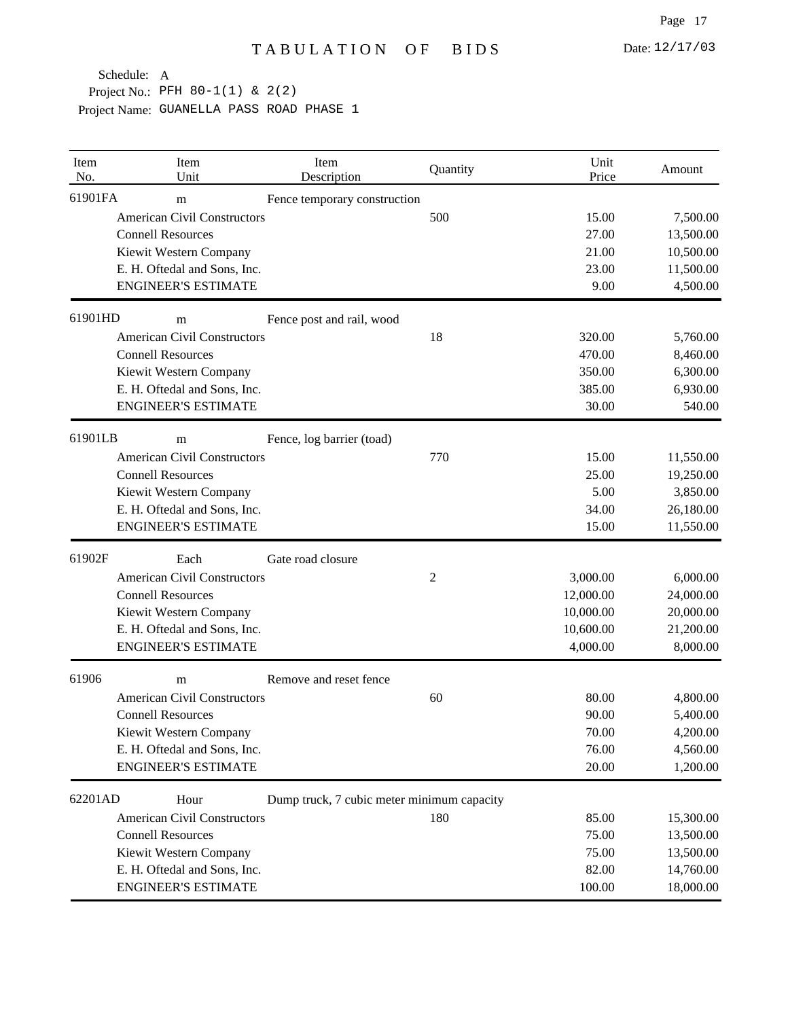| Item<br>No. | Item<br>Unit                       | Item<br>Description                        | Quantity | Unit<br>Price | Amount    |
|-------------|------------------------------------|--------------------------------------------|----------|---------------|-----------|
| 61901FA     | m                                  | Fence temporary construction               |          |               |           |
|             | <b>American Civil Constructors</b> |                                            | 500      | 15.00         | 7,500.00  |
|             | <b>Connell Resources</b>           |                                            |          | 27.00         | 13,500.00 |
|             | Kiewit Western Company             |                                            |          | 21.00         | 10,500.00 |
|             | E. H. Oftedal and Sons, Inc.       |                                            |          | 23.00         | 11,500.00 |
|             | <b>ENGINEER'S ESTIMATE</b>         |                                            |          | 9.00          | 4,500.00  |
| 61901HD     | m                                  | Fence post and rail, wood                  |          |               |           |
|             | <b>American Civil Constructors</b> |                                            | 18       | 320.00        | 5,760.00  |
|             | <b>Connell Resources</b>           |                                            |          | 470.00        | 8,460.00  |
|             | Kiewit Western Company             |                                            |          | 350.00        | 6,300.00  |
|             | E. H. Oftedal and Sons, Inc.       |                                            |          | 385.00        | 6,930.00  |
|             | <b>ENGINEER'S ESTIMATE</b>         |                                            |          | 30.00         | 540.00    |
| 61901LB     | m                                  | Fence, log barrier (toad)                  |          |               |           |
|             | <b>American Civil Constructors</b> |                                            | 770      | 15.00         | 11,550.00 |
|             | <b>Connell Resources</b>           |                                            |          | 25.00         | 19,250.00 |
|             | Kiewit Western Company             |                                            |          | 5.00          | 3,850.00  |
|             | E. H. Oftedal and Sons, Inc.       |                                            |          | 34.00         | 26,180.00 |
|             | <b>ENGINEER'S ESTIMATE</b>         |                                            |          | 15.00         | 11,550.00 |
| 61902F      | Each                               | Gate road closure                          |          |               |           |
|             | <b>American Civil Constructors</b> |                                            | 2        | 3,000.00      | 6,000.00  |
|             | <b>Connell Resources</b>           |                                            |          | 12,000.00     | 24,000.00 |
|             | Kiewit Western Company             |                                            |          | 10,000.00     | 20,000.00 |
|             | E. H. Oftedal and Sons, Inc.       |                                            |          | 10,600.00     | 21,200.00 |
|             | <b>ENGINEER'S ESTIMATE</b>         |                                            |          | 4,000.00      | 8,000.00  |
| 61906       | m                                  | Remove and reset fence                     |          |               |           |
|             | <b>American Civil Constructors</b> |                                            | 60       | 80.00         | 4,800.00  |
|             | <b>Connell Resources</b>           |                                            |          | 90.00         | 5,400.00  |
|             | Kiewit Western Company             |                                            |          | 70.00         | 4,200.00  |
|             | E. H. Oftedal and Sons, Inc.       |                                            |          | 76.00         | 4,560.00  |
|             | <b>ENGINEER'S ESTIMATE</b>         |                                            |          | 20.00         | 1,200.00  |
| 62201AD     | Hour                               | Dump truck, 7 cubic meter minimum capacity |          |               |           |
|             | <b>American Civil Constructors</b> |                                            | 180      | 85.00         | 15,300.00 |
|             | <b>Connell Resources</b>           |                                            |          | 75.00         | 13,500.00 |
|             | Kiewit Western Company             |                                            |          | 75.00         | 13,500.00 |
|             | E. H. Oftedal and Sons, Inc.       |                                            |          | 82.00         | 14,760.00 |
|             | <b>ENGINEER'S ESTIMATE</b>         |                                            |          | 100.00        | 18,000.00 |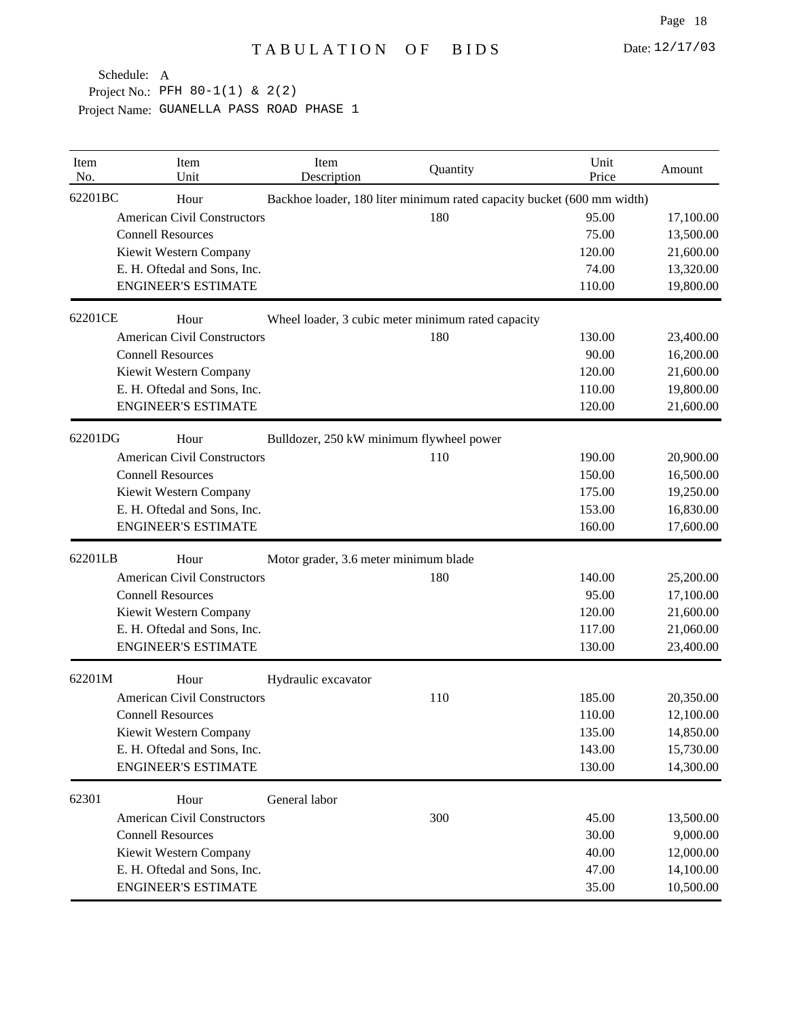| Item<br>No. | Item<br>Unit                       | Item<br>Description                                | Quantity | Unit<br>Price                                                          | Amount    |
|-------------|------------------------------------|----------------------------------------------------|----------|------------------------------------------------------------------------|-----------|
| 62201BC     | Hour                               |                                                    |          | Backhoe loader, 180 liter minimum rated capacity bucket (600 mm width) |           |
|             | <b>American Civil Constructors</b> |                                                    | 180      | 95.00                                                                  | 17,100.00 |
|             | <b>Connell Resources</b>           |                                                    |          | 75.00                                                                  | 13,500.00 |
|             | Kiewit Western Company             |                                                    |          | 120.00                                                                 | 21,600.00 |
|             | E. H. Oftedal and Sons, Inc.       |                                                    |          | 74.00                                                                  | 13,320.00 |
|             | <b>ENGINEER'S ESTIMATE</b>         |                                                    |          | 110.00                                                                 | 19,800.00 |
| 62201CE     | Hour                               | Wheel loader, 3 cubic meter minimum rated capacity |          |                                                                        |           |
|             | <b>American Civil Constructors</b> |                                                    | 180      | 130.00                                                                 | 23,400.00 |
|             | <b>Connell Resources</b>           |                                                    |          | 90.00                                                                  | 16,200.00 |
|             | Kiewit Western Company             |                                                    |          | 120.00                                                                 | 21,600.00 |
|             | E. H. Oftedal and Sons, Inc.       |                                                    |          | 110.00                                                                 | 19,800.00 |
|             | <b>ENGINEER'S ESTIMATE</b>         |                                                    |          | 120.00                                                                 | 21,600.00 |
| 62201DG     | Hour                               | Bulldozer, 250 kW minimum flywheel power           |          |                                                                        |           |
|             | <b>American Civil Constructors</b> |                                                    | 110      | 190.00                                                                 | 20,900.00 |
|             | <b>Connell Resources</b>           |                                                    |          | 150.00                                                                 | 16,500.00 |
|             | Kiewit Western Company             |                                                    |          | 175.00                                                                 | 19,250.00 |
|             | E. H. Oftedal and Sons, Inc.       |                                                    |          | 153.00                                                                 | 16,830.00 |
|             | <b>ENGINEER'S ESTIMATE</b>         |                                                    |          | 160.00                                                                 | 17,600.00 |
| 62201LB     | Hour                               | Motor grader, 3.6 meter minimum blade              |          |                                                                        |           |
|             | <b>American Civil Constructors</b> |                                                    | 180      | 140.00                                                                 | 25,200.00 |
|             | <b>Connell Resources</b>           |                                                    |          | 95.00                                                                  | 17,100.00 |
|             | Kiewit Western Company             |                                                    |          | 120.00                                                                 | 21,600.00 |
|             | E. H. Oftedal and Sons, Inc.       |                                                    |          | 117.00                                                                 | 21,060.00 |
|             | <b>ENGINEER'S ESTIMATE</b>         |                                                    |          | 130.00                                                                 | 23,400.00 |
| 62201M      | Hour                               | Hydraulic excavator                                |          |                                                                        |           |
|             | <b>American Civil Constructors</b> |                                                    | 110      | 185.00                                                                 | 20,350.00 |
|             | <b>Connell Resources</b>           |                                                    |          | 110.00                                                                 | 12,100.00 |
|             | Kiewit Western Company             |                                                    |          | 135.00                                                                 | 14,850.00 |
|             | E. H. Oftedal and Sons, Inc.       |                                                    |          | 143.00                                                                 | 15,730.00 |
|             | <b>ENGINEER'S ESTIMATE</b>         |                                                    |          | 130.00                                                                 | 14,300.00 |
| 62301       | Hour                               | General labor                                      |          |                                                                        |           |
|             | <b>American Civil Constructors</b> |                                                    | 300      | 45.00                                                                  | 13,500.00 |
|             | <b>Connell Resources</b>           |                                                    |          | 30.00                                                                  | 9,000.00  |
|             | Kiewit Western Company             |                                                    |          | 40.00                                                                  | 12,000.00 |
|             | E. H. Oftedal and Sons, Inc.       |                                                    |          | 47.00                                                                  | 14,100.00 |
|             | <b>ENGINEER'S ESTIMATE</b>         |                                                    |          | 35.00                                                                  | 10,500.00 |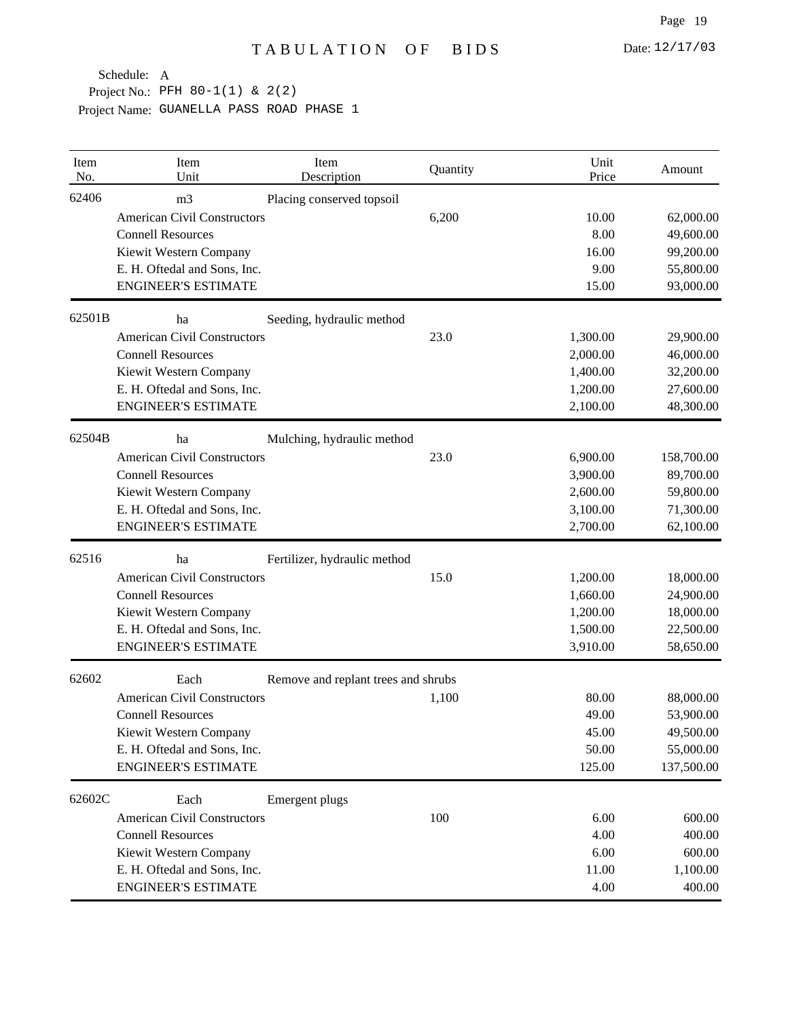| Item<br>No. | Item<br>Unit                       | Item<br>Description                 | Quantity | Unit<br>Price | Amount     |
|-------------|------------------------------------|-------------------------------------|----------|---------------|------------|
| 62406       | m <sub>3</sub>                     | Placing conserved topsoil           |          |               |            |
|             | <b>American Civil Constructors</b> |                                     | 6,200    | 10.00         | 62,000.00  |
|             | <b>Connell Resources</b>           |                                     |          | 8.00          | 49,600.00  |
|             | Kiewit Western Company             |                                     |          | 16.00         | 99,200.00  |
|             | E. H. Oftedal and Sons, Inc.       |                                     |          | 9.00          | 55,800.00  |
|             | <b>ENGINEER'S ESTIMATE</b>         |                                     |          | 15.00         | 93,000.00  |
| 62501B      | ha                                 | Seeding, hydraulic method           |          |               |            |
|             | <b>American Civil Constructors</b> |                                     | 23.0     | 1,300.00      | 29,900.00  |
|             | <b>Connell Resources</b>           |                                     |          | 2,000.00      | 46,000.00  |
|             | Kiewit Western Company             |                                     |          | 1,400.00      | 32,200.00  |
|             | E. H. Oftedal and Sons, Inc.       |                                     |          | 1,200.00      | 27,600.00  |
|             | <b>ENGINEER'S ESTIMATE</b>         |                                     |          | 2,100.00      | 48,300.00  |
| 62504B      | ha                                 | Mulching, hydraulic method          |          |               |            |
|             | <b>American Civil Constructors</b> |                                     | 23.0     | 6,900.00      | 158,700.00 |
|             | <b>Connell Resources</b>           |                                     |          | 3,900.00      | 89,700.00  |
|             | Kiewit Western Company             |                                     |          | 2,600.00      | 59,800.00  |
|             | E. H. Oftedal and Sons, Inc.       |                                     |          | 3,100.00      | 71,300.00  |
|             | <b>ENGINEER'S ESTIMATE</b>         |                                     |          | 2,700.00      | 62,100.00  |
| 62516       | ha                                 | Fertilizer, hydraulic method        |          |               |            |
|             | <b>American Civil Constructors</b> |                                     | 15.0     | 1,200.00      | 18,000.00  |
|             | <b>Connell Resources</b>           |                                     |          | 1,660.00      | 24,900.00  |
|             | Kiewit Western Company             |                                     |          | 1,200.00      | 18,000.00  |
|             | E. H. Oftedal and Sons, Inc.       |                                     |          | 1,500.00      | 22,500.00  |
|             | <b>ENGINEER'S ESTIMATE</b>         |                                     |          | 3,910.00      | 58,650.00  |
| 62602       | Each                               | Remove and replant trees and shrubs |          |               |            |
|             | <b>American Civil Constructors</b> |                                     | 1,100    | 80.00         | 88,000.00  |
|             | <b>Connell Resources</b>           |                                     |          | 49.00         | 53,900.00  |
|             | Kiewit Western Company             |                                     |          | 45.00         | 49,500.00  |
|             | E. H. Oftedal and Sons, Inc.       |                                     |          | 50.00         | 55,000.00  |
|             | <b>ENGINEER'S ESTIMATE</b>         |                                     |          | 125.00        | 137,500.00 |
| 62602C      | Each                               | Emergent plugs                      |          |               |            |
|             | <b>American Civil Constructors</b> |                                     | 100      | 6.00          | 600.00     |
|             | <b>Connell Resources</b>           |                                     |          | 4.00          | 400.00     |
|             | Kiewit Western Company             |                                     |          | 6.00          | 600.00     |
|             | E. H. Oftedal and Sons, Inc.       |                                     |          | 11.00         | 1,100.00   |
|             | <b>ENGINEER'S ESTIMATE</b>         |                                     |          | 4.00          | 400.00     |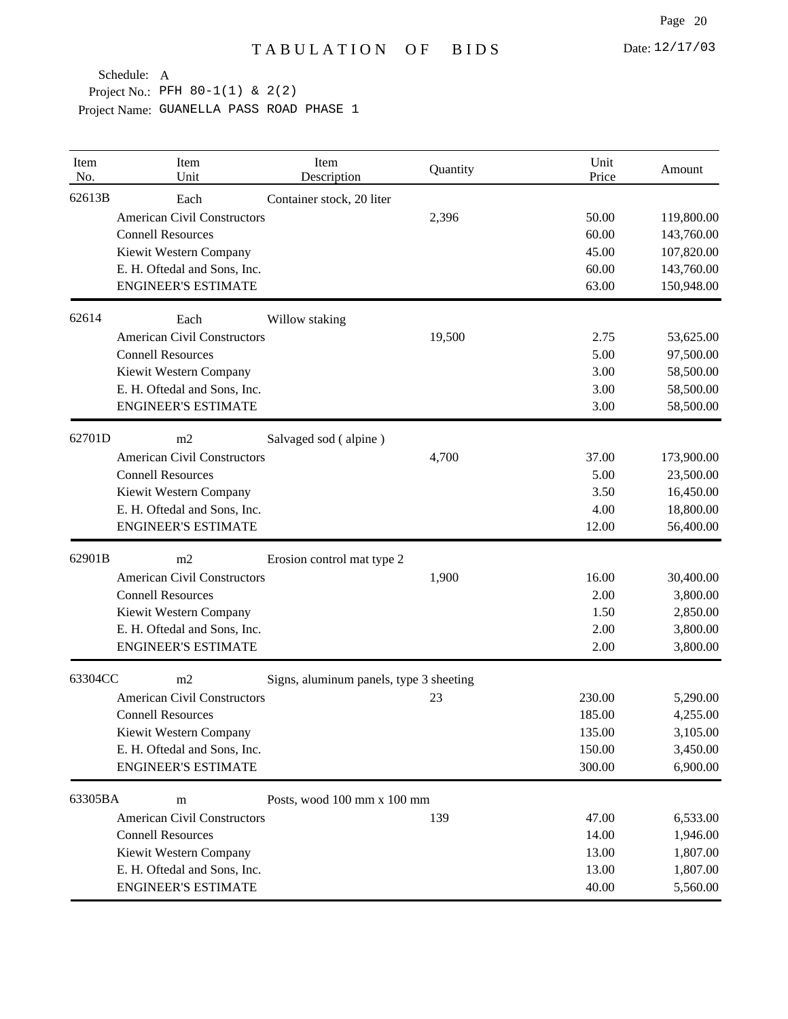| Item<br>No. | Item<br>Unit                       | Item<br>Description                     | Quantity | Unit<br>Price | Amount     |
|-------------|------------------------------------|-----------------------------------------|----------|---------------|------------|
| 62613B      | Each                               | Container stock, 20 liter               |          |               |            |
|             | <b>American Civil Constructors</b> |                                         | 2,396    | 50.00         | 119,800.00 |
|             | <b>Connell Resources</b>           |                                         |          | 60.00         | 143,760.00 |
|             | Kiewit Western Company             |                                         |          | 45.00         | 107,820.00 |
|             | E. H. Oftedal and Sons, Inc.       |                                         |          | 60.00         | 143,760.00 |
|             | <b>ENGINEER'S ESTIMATE</b>         |                                         |          | 63.00         | 150,948.00 |
| 62614       | Each                               | Willow staking                          |          |               |            |
|             | <b>American Civil Constructors</b> |                                         | 19,500   | 2.75          | 53,625.00  |
|             | <b>Connell Resources</b>           |                                         |          | 5.00          | 97,500.00  |
|             | Kiewit Western Company             |                                         |          | 3.00          | 58,500.00  |
|             | E. H. Oftedal and Sons, Inc.       |                                         |          | 3.00          | 58,500.00  |
|             | <b>ENGINEER'S ESTIMATE</b>         |                                         |          | 3.00          | 58,500.00  |
| 62701D      | m2                                 | Salvaged sod (alpine)                   |          |               |            |
|             | <b>American Civil Constructors</b> |                                         | 4,700    | 37.00         | 173,900.00 |
|             | <b>Connell Resources</b>           |                                         |          | 5.00          | 23,500.00  |
|             | Kiewit Western Company             |                                         |          | 3.50          | 16,450.00  |
|             | E. H. Oftedal and Sons, Inc.       |                                         |          | 4.00          | 18,800.00  |
|             | <b>ENGINEER'S ESTIMATE</b>         |                                         |          | 12.00         | 56,400.00  |
| 62901B      | m2                                 | Erosion control mat type 2              |          |               |            |
|             | <b>American Civil Constructors</b> |                                         | 1,900    | 16.00         | 30,400.00  |
|             | <b>Connell Resources</b>           |                                         |          | 2.00          | 3,800.00   |
|             | Kiewit Western Company             |                                         |          | 1.50          | 2,850.00   |
|             | E. H. Oftedal and Sons, Inc.       |                                         |          | 2.00          | 3,800.00   |
|             | <b>ENGINEER'S ESTIMATE</b>         |                                         |          | 2.00          | 3,800.00   |
| 63304CC     | m2                                 | Signs, aluminum panels, type 3 sheeting |          |               |            |
|             | <b>American Civil Constructors</b> |                                         | 23       | 230.00        | 5,290.00   |
|             | <b>Connell Resources</b>           |                                         |          | 185.00        | 4,255.00   |
|             | Kiewit Western Company             |                                         |          | 135.00        | 3,105.00   |
|             | E. H. Oftedal and Sons, Inc.       |                                         |          | 150.00        | 3,450.00   |
|             | <b>ENGINEER'S ESTIMATE</b>         |                                         |          | 300.00        | 6,900.00   |
| 63305BA     | m                                  | Posts, wood 100 mm x 100 mm             |          |               |            |
|             | <b>American Civil Constructors</b> |                                         | 139      | 47.00         | 6,533.00   |
|             | <b>Connell Resources</b>           |                                         |          | 14.00         | 1,946.00   |
|             | Kiewit Western Company             |                                         |          | 13.00         | 1,807.00   |
|             | E. H. Oftedal and Sons, Inc.       |                                         |          | 13.00         | 1,807.00   |
|             | <b>ENGINEER'S ESTIMATE</b>         |                                         |          | 40.00         | 5,560.00   |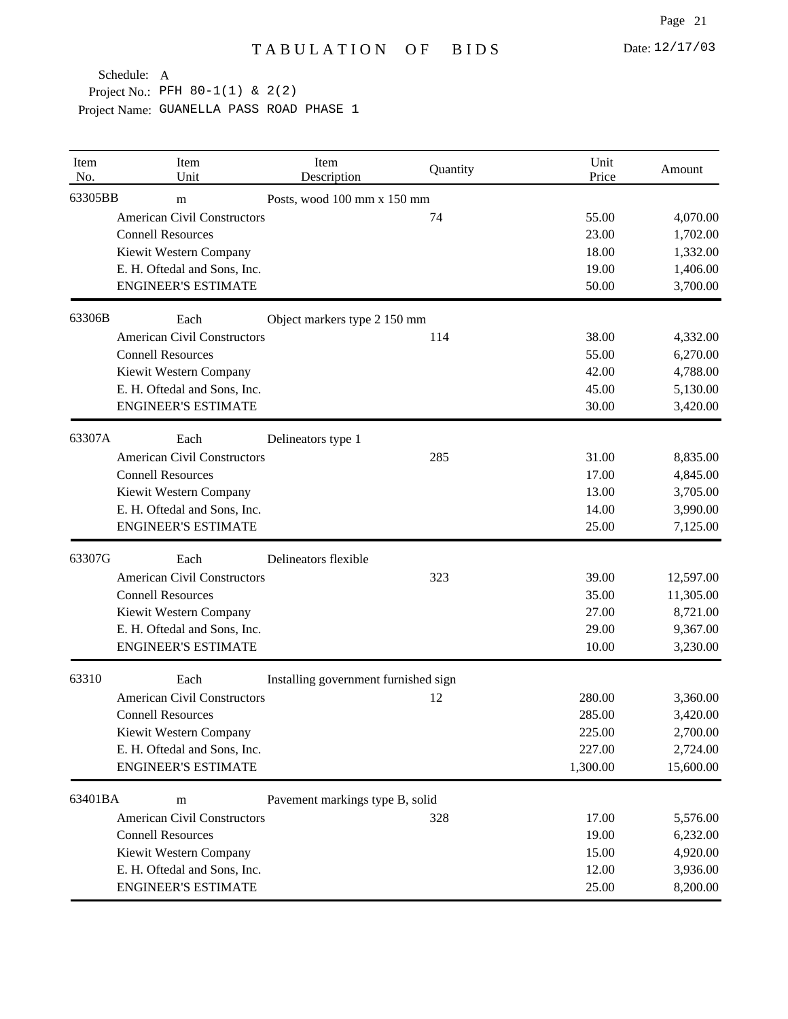| Item<br>No. | Item<br>Unit                       | Item<br>Description                  | Quantity | Unit<br>Price | Amount    |
|-------------|------------------------------------|--------------------------------------|----------|---------------|-----------|
| 63305BB     | m                                  | Posts, wood 100 mm x 150 mm          |          |               |           |
|             | <b>American Civil Constructors</b> |                                      | 74       | 55.00         | 4,070.00  |
|             | <b>Connell Resources</b>           |                                      |          | 23.00         | 1,702.00  |
|             | Kiewit Western Company             |                                      |          | 18.00         | 1,332.00  |
|             | E. H. Oftedal and Sons, Inc.       |                                      |          | 19.00         | 1,406.00  |
|             | <b>ENGINEER'S ESTIMATE</b>         |                                      |          | 50.00         | 3,700.00  |
| 63306B      | Each                               | Object markers type 2 150 mm         |          |               |           |
|             | <b>American Civil Constructors</b> |                                      | 114      | 38.00         | 4,332.00  |
|             | <b>Connell Resources</b>           |                                      |          | 55.00         | 6,270.00  |
|             | Kiewit Western Company             |                                      |          | 42.00         | 4,788.00  |
|             | E. H. Oftedal and Sons, Inc.       |                                      |          | 45.00         | 5,130.00  |
|             | <b>ENGINEER'S ESTIMATE</b>         |                                      |          | 30.00         | 3,420.00  |
| 63307A      | Each                               | Delineators type 1                   |          |               |           |
|             | <b>American Civil Constructors</b> |                                      | 285      | 31.00         | 8,835.00  |
|             | <b>Connell Resources</b>           |                                      |          | 17.00         | 4,845.00  |
|             | Kiewit Western Company             |                                      |          | 13.00         | 3,705.00  |
|             | E. H. Oftedal and Sons, Inc.       |                                      |          | 14.00         | 3,990.00  |
|             | <b>ENGINEER'S ESTIMATE</b>         |                                      |          | 25.00         | 7,125.00  |
| 63307G      | Each                               | Delineators flexible                 |          |               |           |
|             | <b>American Civil Constructors</b> |                                      | 323      | 39.00         | 12,597.00 |
|             | <b>Connell Resources</b>           |                                      |          | 35.00         | 11,305.00 |
|             | Kiewit Western Company             |                                      |          | 27.00         | 8,721.00  |
|             | E. H. Oftedal and Sons, Inc.       |                                      |          | 29.00         | 9,367.00  |
|             | <b>ENGINEER'S ESTIMATE</b>         |                                      |          | 10.00         | 3,230.00  |
| 63310       | Each                               | Installing government furnished sign |          |               |           |
|             | <b>American Civil Constructors</b> |                                      | 12       | 280.00        | 3,360.00  |
|             | <b>Connell Resources</b>           |                                      |          | 285.00        | 3,420.00  |
|             | Kiewit Western Company             |                                      |          | 225.00        | 2,700.00  |
|             | E. H. Oftedal and Sons, Inc.       |                                      |          | 227.00        | 2,724.00  |
|             | <b>ENGINEER'S ESTIMATE</b>         |                                      |          | 1,300.00      | 15,600.00 |
| 63401BA     | m                                  | Pavement markings type B, solid      |          |               |           |
|             | <b>American Civil Constructors</b> |                                      | 328      | 17.00         | 5,576.00  |
|             | <b>Connell Resources</b>           |                                      |          | 19.00         | 6,232.00  |
|             | Kiewit Western Company             |                                      |          | 15.00         | 4,920.00  |
|             | E. H. Oftedal and Sons, Inc.       |                                      |          | 12.00         | 3,936.00  |
|             | <b>ENGINEER'S ESTIMATE</b>         |                                      |          | 25.00         | 8,200.00  |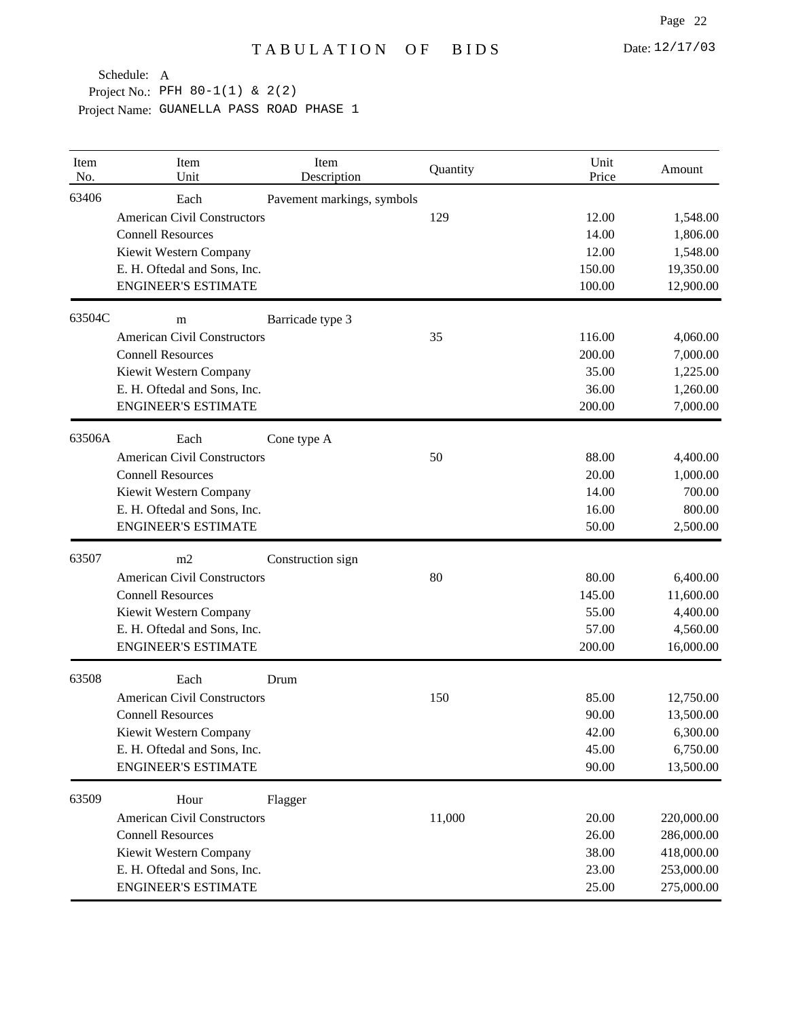| Item<br>No. | Item<br>Unit                       | Item<br>Description        | Quantity | Unit<br>Price | Amount     |
|-------------|------------------------------------|----------------------------|----------|---------------|------------|
| 63406       | Each                               | Pavement markings, symbols |          |               |            |
|             | <b>American Civil Constructors</b> |                            | 129      | 12.00         | 1,548.00   |
|             | <b>Connell Resources</b>           |                            |          | 14.00         | 1,806.00   |
|             | Kiewit Western Company             |                            |          | 12.00         | 1,548.00   |
|             | E. H. Oftedal and Sons, Inc.       |                            |          | 150.00        | 19,350.00  |
|             | <b>ENGINEER'S ESTIMATE</b>         |                            |          | 100.00        | 12,900.00  |
| 63504C      | m                                  | Barricade type 3           |          |               |            |
|             | <b>American Civil Constructors</b> |                            | 35       | 116.00        | 4,060.00   |
|             | <b>Connell Resources</b>           |                            |          | 200.00        | 7,000.00   |
|             | Kiewit Western Company             |                            |          | 35.00         | 1,225.00   |
|             | E. H. Oftedal and Sons, Inc.       |                            |          | 36.00         | 1,260.00   |
|             | <b>ENGINEER'S ESTIMATE</b>         |                            |          | 200.00        | 7,000.00   |
| 63506A      | Each                               | Cone type A                |          |               |            |
|             | <b>American Civil Constructors</b> |                            | 50       | 88.00         | 4,400.00   |
|             | <b>Connell Resources</b>           |                            |          | 20.00         | 1,000.00   |
|             | Kiewit Western Company             |                            |          | 14.00         | 700.00     |
|             | E. H. Oftedal and Sons, Inc.       |                            |          | 16.00         | 800.00     |
|             | <b>ENGINEER'S ESTIMATE</b>         |                            |          | 50.00         | 2,500.00   |
| 63507       | m2                                 | Construction sign          |          |               |            |
|             | <b>American Civil Constructors</b> |                            | 80       | 80.00         | 6,400.00   |
|             | <b>Connell Resources</b>           |                            |          | 145.00        | 11,600.00  |
|             | Kiewit Western Company             |                            |          | 55.00         | 4,400.00   |
|             | E. H. Oftedal and Sons, Inc.       |                            |          | 57.00         | 4,560.00   |
|             | <b>ENGINEER'S ESTIMATE</b>         |                            |          | 200.00        | 16,000.00  |
| 63508       | Each                               | Drum                       |          |               |            |
|             | <b>American Civil Constructors</b> |                            | 150      | 85.00         | 12,750.00  |
|             | <b>Connell Resources</b>           |                            |          | 90.00         | 13,500.00  |
|             | Kiewit Western Company             |                            |          | 42.00         | 6,300.00   |
|             | E. H. Oftedal and Sons, Inc.       |                            |          | 45.00         | 6,750.00   |
|             | <b>ENGINEER'S ESTIMATE</b>         |                            |          | 90.00         | 13,500.00  |
| 63509       | Hour                               | Flagger                    |          |               |            |
|             | <b>American Civil Constructors</b> |                            | 11,000   | 20.00         | 220,000.00 |
|             | <b>Connell Resources</b>           |                            |          | 26.00         | 286,000.00 |
|             | Kiewit Western Company             |                            |          | 38.00         | 418,000.00 |
|             | E. H. Oftedal and Sons, Inc.       |                            |          | 23.00         | 253,000.00 |
|             | <b>ENGINEER'S ESTIMATE</b>         |                            |          | 25.00         | 275,000.00 |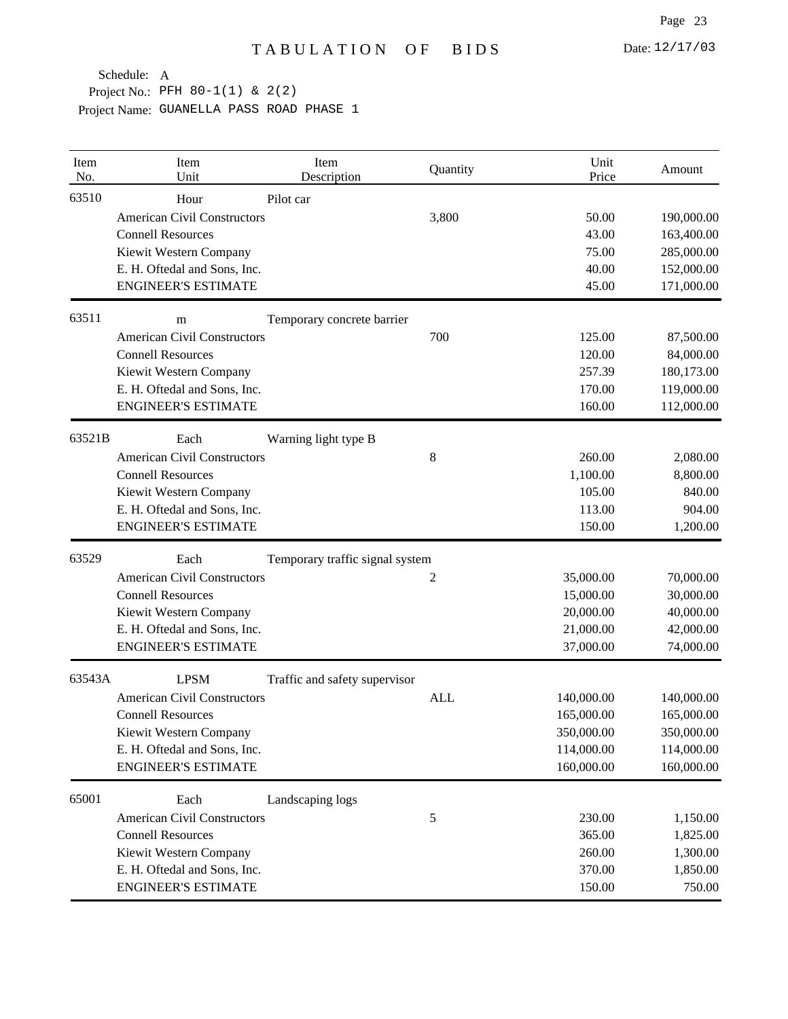| Item<br>No. | Item<br>Unit                       | Item<br>Description             | Quantity   | Unit<br>Price | Amount     |
|-------------|------------------------------------|---------------------------------|------------|---------------|------------|
| 63510       | Hour                               | Pilot car                       |            |               |            |
|             | <b>American Civil Constructors</b> |                                 | 3,800      | 50.00         | 190,000.00 |
|             | <b>Connell Resources</b>           |                                 |            | 43.00         | 163,400.00 |
|             | Kiewit Western Company             |                                 |            | 75.00         | 285,000.00 |
|             | E. H. Oftedal and Sons, Inc.       |                                 |            | 40.00         | 152,000.00 |
|             | <b>ENGINEER'S ESTIMATE</b>         |                                 |            | 45.00         | 171,000.00 |
| 63511       | m                                  | Temporary concrete barrier      |            |               |            |
|             | <b>American Civil Constructors</b> |                                 | 700        | 125.00        | 87,500.00  |
|             | <b>Connell Resources</b>           |                                 |            | 120.00        | 84,000.00  |
|             | Kiewit Western Company             |                                 |            | 257.39        | 180,173.00 |
|             | E. H. Oftedal and Sons, Inc.       |                                 |            | 170.00        | 119,000.00 |
|             | <b>ENGINEER'S ESTIMATE</b>         |                                 |            | 160.00        | 112,000.00 |
| 63521B      | Each                               | Warning light type B            |            |               |            |
|             | <b>American Civil Constructors</b> |                                 | $\,8\,$    | 260.00        | 2,080.00   |
|             | <b>Connell Resources</b>           |                                 |            | 1,100.00      | 8,800.00   |
|             | Kiewit Western Company             |                                 |            | 105.00        | 840.00     |
|             | E. H. Oftedal and Sons, Inc.       |                                 |            | 113.00        | 904.00     |
|             | <b>ENGINEER'S ESTIMATE</b>         |                                 |            | 150.00        | 1,200.00   |
| 63529       | Each                               | Temporary traffic signal system |            |               |            |
|             | <b>American Civil Constructors</b> |                                 | 2          | 35,000.00     | 70,000.00  |
|             | <b>Connell Resources</b>           |                                 |            | 15,000.00     | 30,000.00  |
|             | Kiewit Western Company             |                                 |            | 20,000.00     | 40,000.00  |
|             | E. H. Oftedal and Sons, Inc.       |                                 |            | 21,000.00     | 42,000.00  |
|             | <b>ENGINEER'S ESTIMATE</b>         |                                 |            | 37,000.00     | 74,000.00  |
| 63543A      | <b>LPSM</b>                        | Traffic and safety supervisor   |            |               |            |
|             | <b>American Civil Constructors</b> |                                 | <b>ALL</b> | 140,000.00    | 140,000.00 |
|             | <b>Connell Resources</b>           |                                 |            | 165,000.00    | 165,000.00 |
|             | Kiewit Western Company             |                                 |            | 350,000.00    | 350,000.00 |
|             | E. H. Oftedal and Sons, Inc.       |                                 |            | 114,000.00    | 114,000.00 |
|             | <b>ENGINEER'S ESTIMATE</b>         |                                 |            | 160,000.00    | 160,000.00 |
| 65001       | Each                               | Landscaping logs                |            |               |            |
|             | <b>American Civil Constructors</b> |                                 | 5          | 230.00        | 1,150.00   |
|             | <b>Connell Resources</b>           |                                 |            | 365.00        | 1,825.00   |
|             | Kiewit Western Company             |                                 |            | 260.00        | 1,300.00   |
|             | E. H. Oftedal and Sons, Inc.       |                                 |            | 370.00        | 1,850.00   |
|             | <b>ENGINEER'S ESTIMATE</b>         |                                 |            | 150.00        | 750.00     |